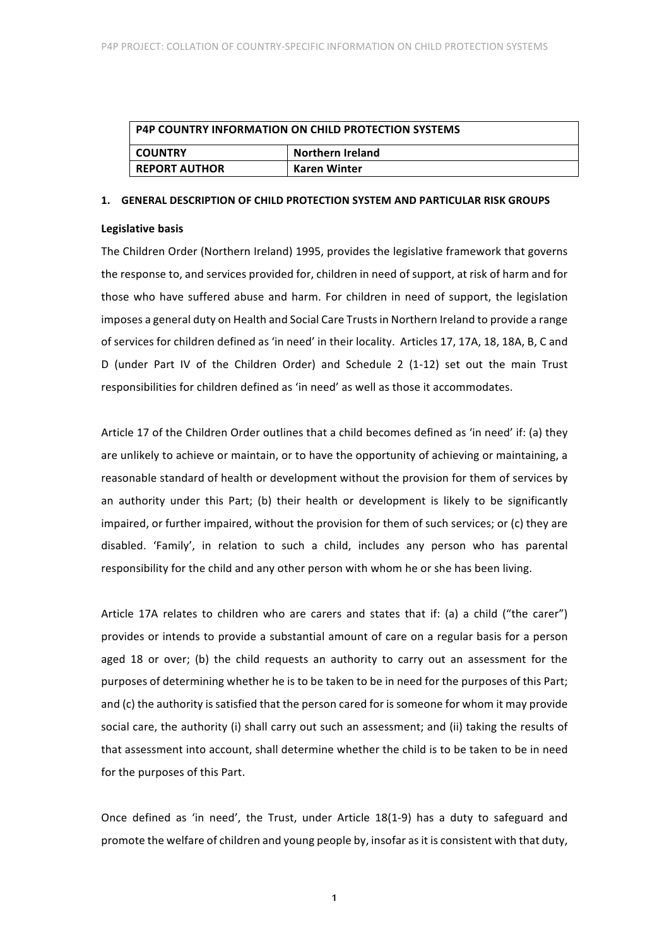| <b>P4P COUNTRY INFORMATION ON CHILD PROTECTION SYSTEMS</b> |                  |
|------------------------------------------------------------|------------------|
| <b>COUNTRY</b>                                             | Northern Ireland |
| <b>REPORT AUTHOR</b>                                       | Karen Winter     |

#### 1. **GENERAL DESCRIPTION OF CHILD PROTECTION SYSTEM AND PARTICULAR RISK GROUPS**

#### **Legislative basis**

The Children Order (Northern Ireland) 1995, provides the legislative framework that governs the response to, and services provided for, children in need of support, at risk of harm and for those who have suffered abuse and harm. For children in need of support, the legislation imposes a general duty on Health and Social Care Trusts in Northern Ireland to provide a range of services for children defined as 'in need' in their locality. Articles 17, 17A, 18, 18A, B, C and D (under Part IV of the Children Order) and Schedule 2 (1-12) set out the main Trust responsibilities for children defined as 'in need' as well as those it accommodates.

Article 17 of the Children Order outlines that a child becomes defined as 'in need' if: (a) they are unlikely to achieve or maintain, or to have the opportunity of achieving or maintaining, a reasonable standard of health or development without the provision for them of services by an authority under this Part; (b) their health or development is likely to be significantly impaired, or further impaired, without the provision for them of such services; or (c) they are disabled. 'Family', in relation to such a child, includes any person who has parental responsibility for the child and any other person with whom he or she has been living.

Article 17A relates to children who are carers and states that if: (a) a child ("the carer") provides or intends to provide a substantial amount of care on a regular basis for a person aged 18 or over; (b) the child requests an authority to carry out an assessment for the purposes of determining whether he is to be taken to be in need for the purposes of this Part; and (c) the authority is satisfied that the person cared for is someone for whom it may provide social care, the authority (i) shall carry out such an assessment; and (ii) taking the results of that assessment into account, shall determine whether the child is to be taken to be in need for the purposes of this Part.

Once defined as 'in need', the Trust, under Article 18(1-9) has a duty to safeguard and promote the welfare of children and young people by, insofar as it is consistent with that duty,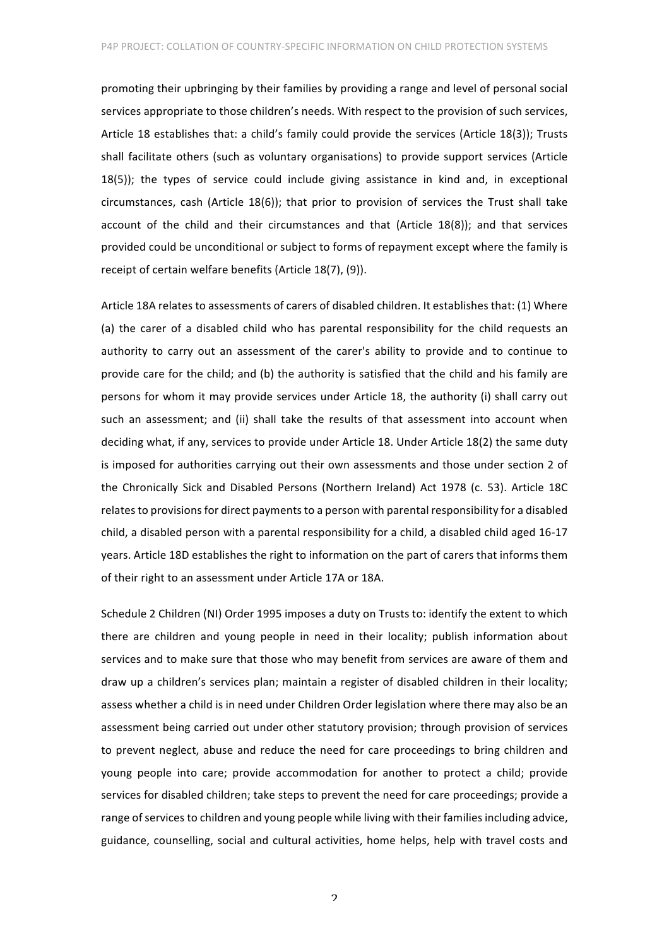promoting their upbringing by their families by providing a range and level of personal social services appropriate to those children's needs. With respect to the provision of such services, Article 18 establishes that: a child's family could provide the services (Article 18(3)); Trusts shall facilitate others (such as voluntary organisations) to provide support services (Article  $18(5)$ ); the types of service could include giving assistance in kind and, in exceptional circumstances, cash (Article  $18(6)$ ); that prior to provision of services the Trust shall take account of the child and their circumstances and that  $(Article 18(8))$ ; and that services provided could be unconditional or subject to forms of repayment except where the family is receipt of certain welfare benefits (Article 18(7), (9)).

Article 18A relates to assessments of carers of disabled children. It establishes that: (1) Where (a) the carer of a disabled child who has parental responsibility for the child requests an authority to carry out an assessment of the carer's ability to provide and to continue to provide care for the child; and (b) the authority is satisfied that the child and his family are persons for whom it may provide services under Article 18, the authority (i) shall carry out such an assessment; and (ii) shall take the results of that assessment into account when deciding what, if any, services to provide under Article 18. Under Article 18(2) the same duty is imposed for authorities carrying out their own assessments and those under section 2 of the Chronically Sick and Disabled Persons (Northern Ireland) Act 1978 (c. 53). Article 18C relates to provisions for direct payments to a person with parental responsibility for a disabled child, a disabled person with a parental responsibility for a child, a disabled child aged 16-17 years. Article 18D establishes the right to information on the part of carers that informs them of their right to an assessment under Article 17A or 18A.

Schedule 2 Children (NI) Order 1995 imposes a duty on Trusts to: identify the extent to which there are children and young people in need in their locality; publish information about services and to make sure that those who may benefit from services are aware of them and draw up a children's services plan; maintain a register of disabled children in their locality; assess whether a child is in need under Children Order legislation where there may also be an assessment being carried out under other statutory provision; through provision of services to prevent neglect, abuse and reduce the need for care proceedings to bring children and young people into care; provide accommodation for another to protect a child; provide services for disabled children; take steps to prevent the need for care proceedings; provide a range of services to children and young people while living with their families including advice, guidance, counselling, social and cultural activities, home helps, help with travel costs and

 $\overline{\mathcal{L}}$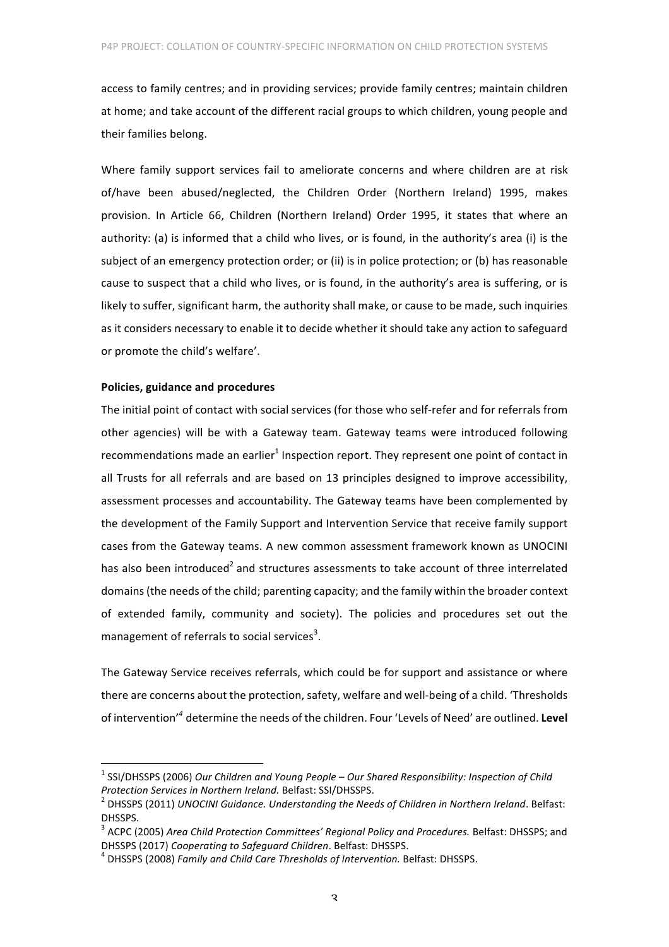access to family centres; and in providing services; provide family centres; maintain children at home; and take account of the different racial groups to which children, young people and their families belong.

Where family support services fail to ameliorate concerns and where children are at risk of/have been abused/neglected, the Children Order (Northern Ireland) 1995, makes provision. In Article 66, Children (Northern Ireland) Order 1995, it states that where an authority: (a) is informed that a child who lives, or is found, in the authority's area (i) is the subject of an emergency protection order; or (ii) is in police protection; or (b) has reasonable cause to suspect that a child who lives, or is found, in the authority's area is suffering, or is likely to suffer, significant harm, the authority shall make, or cause to be made, such inquiries as it considers necessary to enable it to decide whether it should take any action to safeguard or promote the child's welfare'.

## **Policies, guidance and procedures**

The initial point of contact with social services (for those who self-refer and for referrals from other agencies) will be with a Gateway team. Gateway teams were introduced following recommendations made an earlier $1$  Inspection report. They represent one point of contact in all Trusts for all referrals and are based on 13 principles designed to improve accessibility, assessment processes and accountability. The Gateway teams have been complemented by the development of the Family Support and Intervention Service that receive family support cases from the Gateway teams. A new common assessment framework known as UNOCINI has also been introduced<sup>2</sup> and structures assessments to take account of three interrelated domains (the needs of the child; parenting capacity; and the family within the broader context of extended family, community and society). The policies and procedures set out the management of referrals to social services<sup>3</sup>.

The Gateway Service receives referrals, which could be for support and assistance or where there are concerns about the protection, safety, welfare and well-being of a child. 'Thresholds of intervention<sup>'4</sup> determine the needs of the children. Four 'Levels of Need' are outlined. Level

<sup>&</sup>lt;sup>1</sup> SSI/DHSSPS (2006) Our Children and Young People – Our Shared Responsibility: Inspection of Child *Protection Services in Northern Ireland.* Belfast: SSI/DHSSPS.<br><sup>2</sup> DHSSPS (2011) *UNOCINI Guidance. Understanding the Needs of Children in Northern Ireland.* Belfast:

DHSSPS.

<sup>&</sup>lt;sup>3</sup> ACPC (2005) Area Child Protection Committees' Regional Policy and Procedures. Belfast: DHSSPS; and DHSSPS (2017) *Cooperating to Safeguard Children*. Belfast: DHSSPS.<br><sup>4</sup> DHSSPS (2008) *Family and Child Care Thresholds of Intervention.* Belfast: DHSSPS.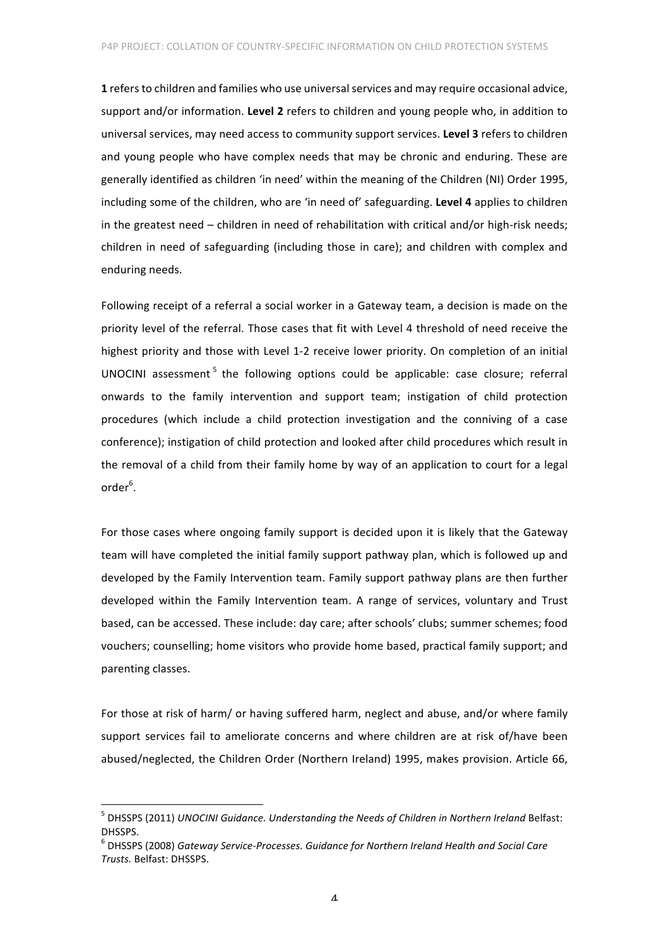**1** refers to children and families who use universal services and may require occasional advice, support and/or information. Level 2 refers to children and young people who, in addition to universal services, may need access to community support services. Level 3 refers to children and young people who have complex needs that may be chronic and enduring. These are generally identified as children 'in need' within the meaning of the Children (NI) Order 1995, including some of the children, who are 'in need of' safeguarding. Level 4 applies to children in the greatest need – children in need of rehabilitation with critical and/or high-risk needs; children in need of safeguarding (including those in care); and children with complex and enduring needs.

Following receipt of a referral a social worker in a Gateway team, a decision is made on the priority level of the referral. Those cases that fit with Level 4 threshold of need receive the highest priority and those with Level 1-2 receive lower priority. On completion of an initial UNOCINI assessment<sup>5</sup> the following options could be applicable: case closure; referral onwards to the family intervention and support team; instigation of child protection procedures (which include a child protection investigation and the conniving of a case conference); instigation of child protection and looked after child procedures which result in the removal of a child from their family home by way of an application to court for a legal order<sup>6</sup>.

For those cases where ongoing family support is decided upon it is likely that the Gateway team will have completed the initial family support pathway plan, which is followed up and developed by the Family Intervention team. Family support pathway plans are then further developed within the Family Intervention team. A range of services, voluntary and Trust based, can be accessed. These include: day care; after schools' clubs; summer schemes; food vouchers; counselling; home visitors who provide home based, practical family support; and parenting classes. 

For those at risk of harm/ or having suffered harm, neglect and abuse, and/or where family support services fail to ameliorate concerns and where children are at risk of/have been abused/neglected, the Children Order (Northern Ireland) 1995, makes provision. Article 66,

<sup>&</sup>lt;sup>5</sup> DHSSPS (2011) *UNOCINI Guidance. Understanding the Needs of Children in Northern Ireland Belfast:* DHSSPS.

 $^{\circ}$  DHSSPS (2008) Gateway Service-Processes. Guidance for Northern Ireland Health and Social Care *Trusts.* Belfast: DHSSPS.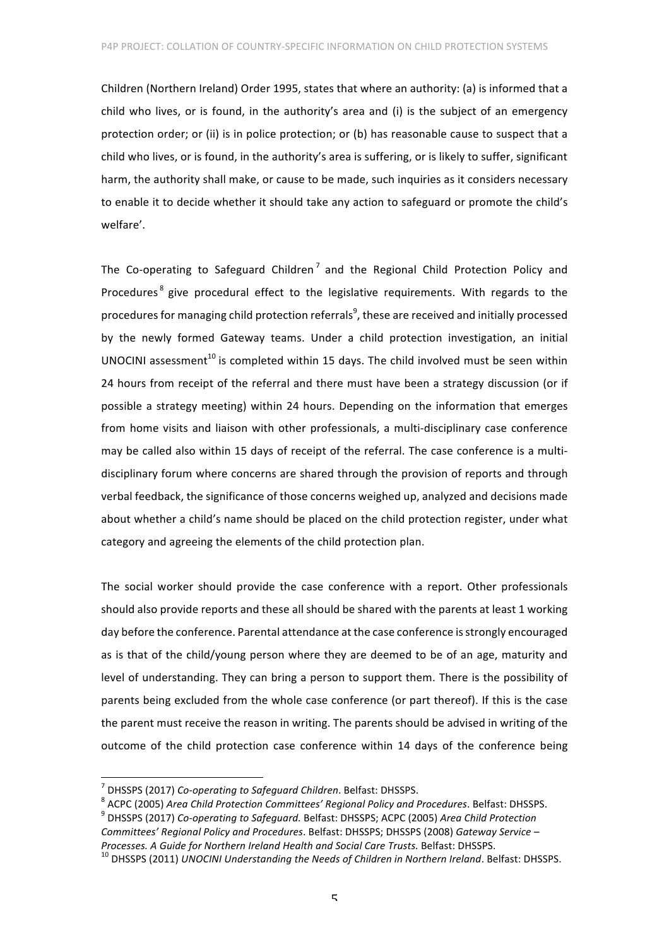Children (Northern Ireland) Order 1995, states that where an authority: (a) is informed that a child who lives, or is found, in the authority's area and (i) is the subject of an emergency protection order; or (ii) is in police protection; or (b) has reasonable cause to suspect that a child who lives, or is found, in the authority's area is suffering, or is likely to suffer, significant harm, the authority shall make, or cause to be made, such inquiries as it considers necessary to enable it to decide whether it should take any action to safeguard or promote the child's welfare'.

The Co-operating to Safeguard Children<sup>7</sup> and the Regional Child Protection Policy and Procedures<sup>8</sup> give procedural effect to the legislative requirements. With regards to the procedures for managing child protection referrals $^9$ , these are received and initially processed by the newly formed Gateway teams. Under a child protection investigation, an initial UNOCINI assessment<sup>10</sup> is completed within 15 days. The child involved must be seen within 24 hours from receipt of the referral and there must have been a strategy discussion (or if possible a strategy meeting) within 24 hours. Depending on the information that emerges from home visits and liaison with other professionals, a multi-disciplinary case conference may be called also within 15 days of receipt of the referral. The case conference is a multidisciplinary forum where concerns are shared through the provision of reports and through verbal feedback, the significance of those concerns weighed up, analyzed and decisions made about whether a child's name should be placed on the child protection register, under what category and agreeing the elements of the child protection plan.

The social worker should provide the case conference with a report. Other professionals should also provide reports and these all should be shared with the parents at least 1 working day before the conference. Parental attendance at the case conference is strongly encouraged as is that of the child/young person where they are deemed to be of an age, maturity and level of understanding. They can bring a person to support them. There is the possibility of parents being excluded from the whole case conference (or part thereof). If this is the case the parent must receive the reason in writing. The parents should be advised in writing of the outcome of the child protection case conference within 14 days of the conference being

<sup>&</sup>lt;sup>7</sup> DHSSPS (2017) Co-operating to Safeguard Children. Belfast: DHSSPS.<br><sup>8</sup> ACPC (2005) *Area Child Protection Committees' Regional Policy and Procedures. Belfast: DHSSPS.*<br><sup>9</sup> DHSSPS (2017) *Co-operating to Safeguard. Bel* 

*Committees' Regional Policy and Procedures. Belfast: DHSSPS; DHSSPS (2008) Gateway Service* –

*Processes.* A Guide for Northern Ireland Health and Social Care Trusts. Belfast: DHSSPS.<br><sup>10</sup> DHSSPS (2011) *UNOCINI Understanding the Needs of Children in Northern Ireland*. Belfast: DHSSPS.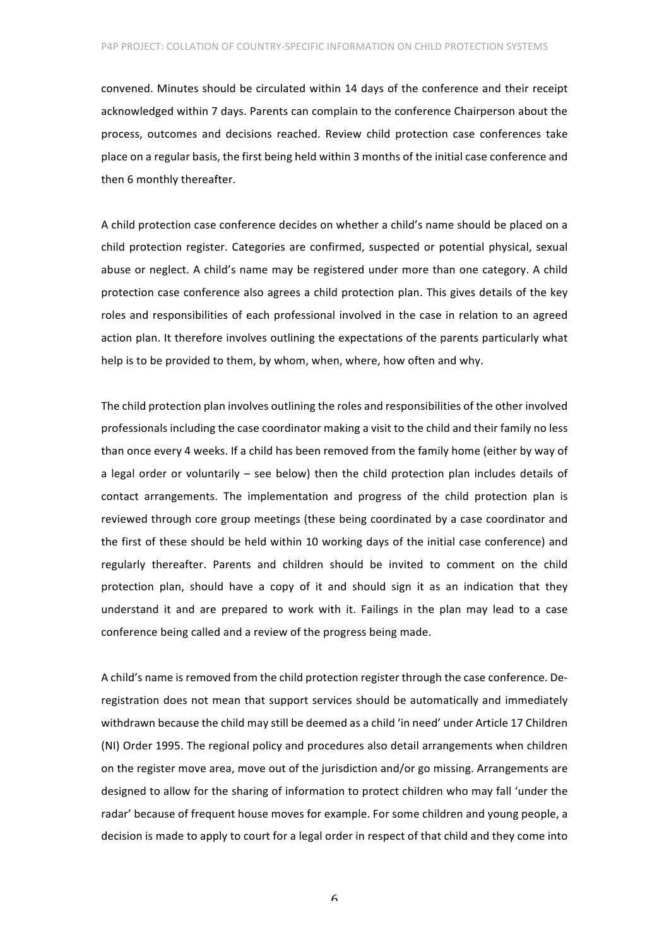convened. Minutes should be circulated within 14 days of the conference and their receipt acknowledged within 7 days. Parents can complain to the conference Chairperson about the process, outcomes and decisions reached. Review child protection case conferences take place on a regular basis, the first being held within 3 months of the initial case conference and then 6 monthly thereafter.

A child protection case conference decides on whether a child's name should be placed on a child protection register. Categories are confirmed, suspected or potential physical, sexual abuse or neglect. A child's name may be registered under more than one category. A child protection case conference also agrees a child protection plan. This gives details of the key roles and responsibilities of each professional involved in the case in relation to an agreed action plan. It therefore involves outlining the expectations of the parents particularly what help is to be provided to them, by whom, when, where, how often and why.

The child protection plan involves outlining the roles and responsibilities of the other involved professionals including the case coordinator making a visit to the child and their family no less than once every 4 weeks. If a child has been removed from the family home (either by way of a legal order or voluntarily  $-$  see below) then the child protection plan includes details of contact arrangements. The implementation and progress of the child protection plan is reviewed through core group meetings (these being coordinated by a case coordinator and the first of these should be held within 10 working days of the initial case conference) and regularly thereafter. Parents and children should be invited to comment on the child protection plan, should have a copy of it and should sign it as an indication that they understand it and are prepared to work with it. Failings in the plan may lead to a case conference being called and a review of the progress being made.

A child's name is removed from the child protection register through the case conference. Deregistration does not mean that support services should be automatically and immediately withdrawn because the child may still be deemed as a child 'in need' under Article 17 Children (NI) Order 1995. The regional policy and procedures also detail arrangements when children on the register move area, move out of the jurisdiction and/or go missing. Arrangements are designed to allow for the sharing of information to protect children who may fall 'under the radar' because of frequent house moves for example. For some children and young people, a decision is made to apply to court for a legal order in respect of that child and they come into

6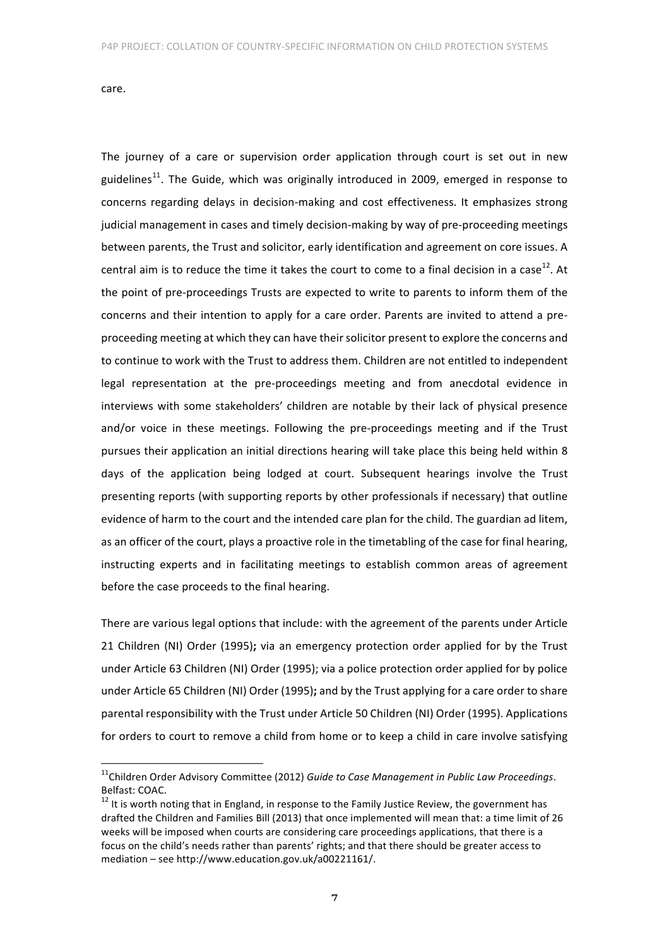care. 

The journey of a care or supervision order application through court is set out in new guidelines<sup>11</sup>. The Guide, which was originally introduced in 2009, emerged in response to concerns regarding delays in decision-making and cost effectiveness. It emphasizes strong judicial management in cases and timely decision-making by way of pre-proceeding meetings between parents, the Trust and solicitor, early identification and agreement on core issues. A central aim is to reduce the time it takes the court to come to a final decision in a case<sup>12</sup>. At the point of pre-proceedings Trusts are expected to write to parents to inform them of the concerns and their intention to apply for a care order. Parents are invited to attend a preproceeding meeting at which they can have their solicitor present to explore the concerns and to continue to work with the Trust to address them. Children are not entitled to independent legal representation at the pre-proceedings meeting and from anecdotal evidence in interviews with some stakeholders' children are notable by their lack of physical presence and/or voice in these meetings. Following the pre-proceedings meeting and if the Trust pursues their application an initial directions hearing will take place this being held within 8 days of the application being lodged at court. Subsequent hearings involve the Trust presenting reports (with supporting reports by other professionals if necessary) that outline evidence of harm to the court and the intended care plan for the child. The guardian ad litem, as an officer of the court, plays a proactive role in the timetabling of the case for final hearing, instructing experts and in facilitating meetings to establish common areas of agreement before the case proceeds to the final hearing.

There are various legal options that include: with the agreement of the parents under Article 21 Children (NI) Order (1995); via an emergency protection order applied for by the Trust under Article 63 Children (NI) Order (1995); via a police protection order applied for by police under Article 65 Children (NI) Order (1995); and by the Trust applying for a care order to share parental responsibility with the Trust under Article 50 Children (NI) Order (1995). Applications for orders to court to remove a child from home or to keep a child in care involve satisfying

<sup>&</sup>lt;sup>11</sup>Children Order Advisory Committee (2012) Guide to Case Management in Public Law Proceedings. Belfast: COAC.

 $12$  It is worth noting that in England, in response to the Family Justice Review, the government has drafted the Children and Families Bill (2013) that once implemented will mean that: a time limit of 26 weeks will be imposed when courts are considering care proceedings applications, that there is a focus on the child's needs rather than parents' rights; and that there should be greater access to mediation – see http://www.education.gov.uk/a00221161/.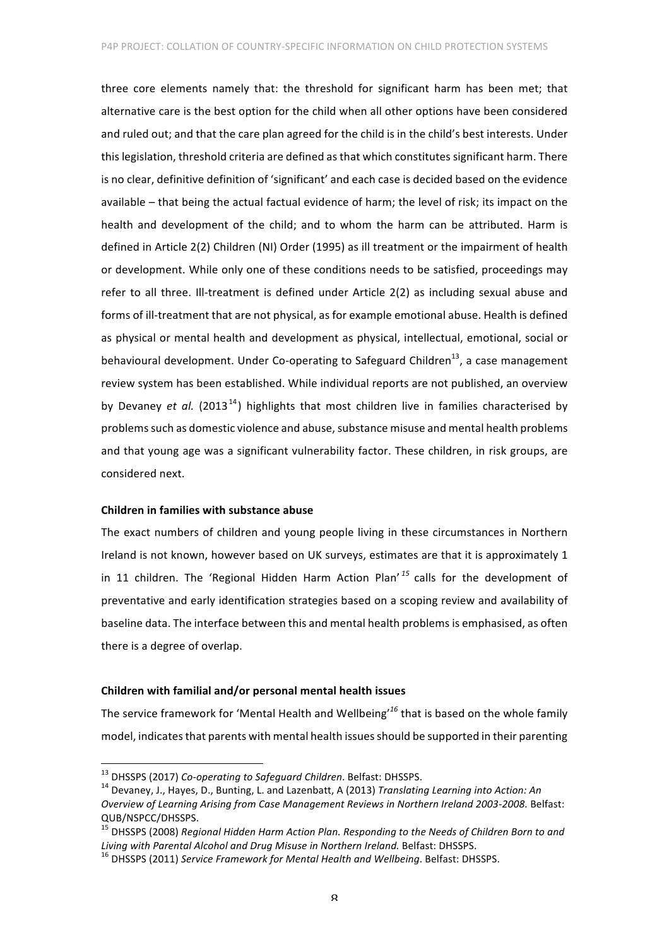three core elements namely that: the threshold for significant harm has been met; that alternative care is the best option for the child when all other options have been considered and ruled out; and that the care plan agreed for the child is in the child's best interests. Under this legislation, threshold criteria are defined as that which constitutes significant harm. There is no clear, definitive definition of 'significant' and each case is decided based on the evidence available – that being the actual factual evidence of harm; the level of risk; its impact on the health and development of the child; and to whom the harm can be attributed. Harm is defined in Article 2(2) Children (NI) Order (1995) as ill treatment or the impairment of health or development. While only one of these conditions needs to be satisfied, proceedings may refer to all three. Ill-treatment is defined under Article 2(2) as including sexual abuse and forms of ill-treatment that are not physical, as for example emotional abuse. Health is defined as physical or mental health and development as physical, intellectual, emotional, social or behavioural development. Under Co-operating to Safeguard Children<sup>13</sup>, a case management review system has been established. While individual reports are not published, an overview by Devaney *et al.* (2013<sup>14</sup>) highlights that most children live in families characterised by problems such as domestic violence and abuse, substance misuse and mental health problems and that young age was a significant vulnerability factor. These children, in risk groups, are considered next.

# **Children in families with substance abuse**

The exact numbers of children and young people living in these circumstances in Northern Ireland is not known, however based on UK surveys, estimates are that it is approximately 1 in 11 children. The 'Regional Hidden Harm Action Plan'<sup>15</sup> calls for the development of preventative and early identification strategies based on a scoping review and availability of baseline data. The interface between this and mental health problems is emphasised, as often there is a degree of overlap.

## **Children with familial and/or personal mental health issues**

The service framework for 'Mental Health and Wellbeing'<sup>16</sup> that is based on the whole family model, indicates that parents with mental health issues should be supported in their parenting

<sup>&</sup>lt;sup>13</sup> DHSSPS (2017) *Co-operating to Safeguard Children*. Belfast: DHSSPS.<br><sup>14</sup> Devaney, J., Hayes, D., Bunting, L. and Lazenbatt, A (2013) *Translating Learning into Action: An Overview of Learning Arising from Case Management Reviews in Northern Ireland 2003-2008.* Belfast: QUB/NSPCC/DHSSPS.

<sup>&</sup>lt;sup>15</sup> DHSSPS (2008) Regional Hidden Harm Action Plan. Responding to the Needs of Children Born to and *Living* with Parental Alcohol and Drug Misuse in Northern Ireland. Belfast: DHSSPS.<br><sup>16</sup> DHSSPS (2011) *Service Framework for Mental Health and Wellbeing*. Belfast: DHSSPS.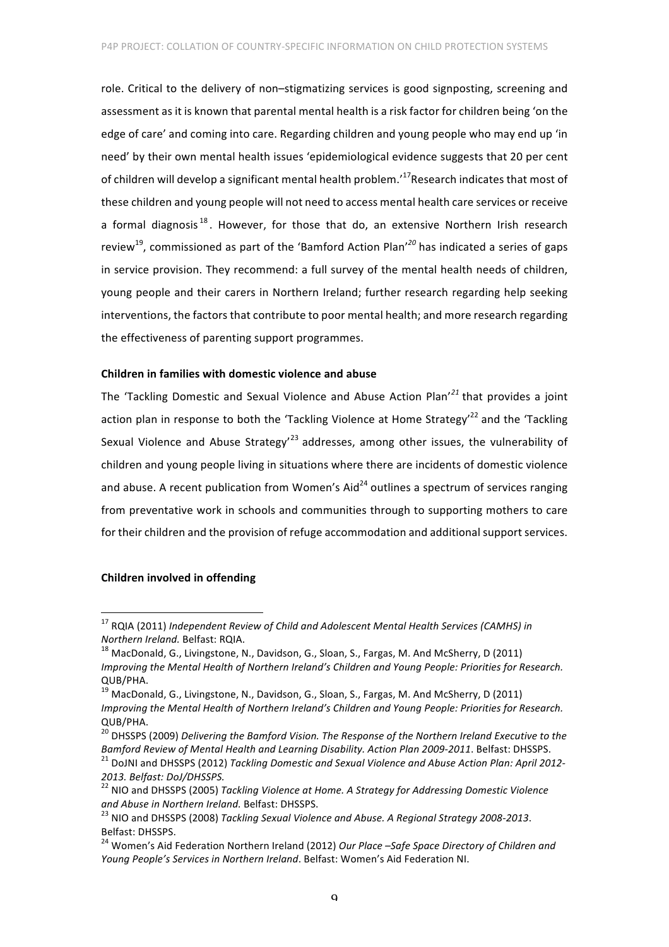role. Critical to the delivery of non-stigmatizing services is good signposting, screening and assessment as it is known that parental mental health is a risk factor for children being 'on the edge of care' and coming into care. Regarding children and young people who may end up 'in need' by their own mental health issues 'epidemiological evidence suggests that 20 per cent of children will develop a significant mental health problem.<sup>17</sup>Research indicates that most of these children and young people will not need to access mental health care services or receive a formal diagnosis<sup>18</sup>. However, for those that do, an extensive Northern Irish research review<sup>19</sup>, commissioned as part of the 'Bamford Action Plan'<sup>20</sup> has indicated a series of gaps in service provision. They recommend: a full survey of the mental health needs of children, young people and their carers in Northern Ireland; further research regarding help seeking interventions, the factors that contribute to poor mental health; and more research regarding the effectiveness of parenting support programmes.

#### **Children in families with domestic violence and abuse**

The 'Tackling Domestic and Sexual Violence and Abuse Action Plan'<sup>21</sup> that provides a ioint action plan in response to both the 'Tackling Violence at Home Strategy'<sup>22</sup> and the 'Tackling Sexual Violence and Abuse Strategy<sup>'23</sup> addresses, among other issues, the vulnerability of children and young people living in situations where there are incidents of domestic violence and abuse. A recent publication from Women's Aid<sup>24</sup> outlines a spectrum of services ranging from preventative work in schools and communities through to supporting mothers to care for their children and the provision of refuge accommodation and additional support services.

## **Children involved in offending**

<sup>&</sup>lt;sup>17</sup> RQIA (2011) *Independent Review of Child and Adolescent Mental Health Services (CAMHS) in*<br>Northern Ireland. Belfast: RQIA.

<sup>&</sup>lt;sup>18</sup> MacDonald, G., Livingstone, N., Davidson, G., Sloan, S., Fargas, M. And McSherry, D (2011) *Improving the Mental Health of Northern Ireland's Children and Young People: Priorities for Research.* QUB/PHA. 

 $^{19}$  MacDonald, G., Livingstone, N., Davidson, G., Sloan, S., Fargas, M. And McSherry, D (2011) *Improving the Mental Health of Northern Ireland's Children and Young People: Priorities for Research.* QUB/PHA.

<sup>&</sup>lt;sup>20</sup> DHSSPS (2009) *Delivering the Bamford Vision. The Response of the Northern Ireland Executive to the Bamford Review of Mental Health and Learning Disability. Action Plan 2009-2011.* Belfast: DHSSPS. <sup>21</sup> DoJNI and DHSSPS (2012) *Tackling Domestic and Sexual Violence and Abuse Action Plan: April 2012-*

*<sup>2013.</sup> Belfast: DoJ/DHSSPS.*<br><sup>22</sup> NIO and DHSSPS (2005) *Tackling Violence at Home. A Strategy for Addressing Domestic Violence* and Abuse in Northern Ireland. Belfast: DHSSPS.<br><sup>23</sup> NIO and DHSSPS (2008) Tackling Sexual Violence and Abuse. A Regional Strategy 2008-2013.

Belfast: DHSSPS.<br><sup>24</sup> Women's Aid Federation Northern Ireland (2012) Our Place –Safe Space Directory of Children and

*Young People's Services in Northern Ireland.* Belfast: Women's Aid Federation NI.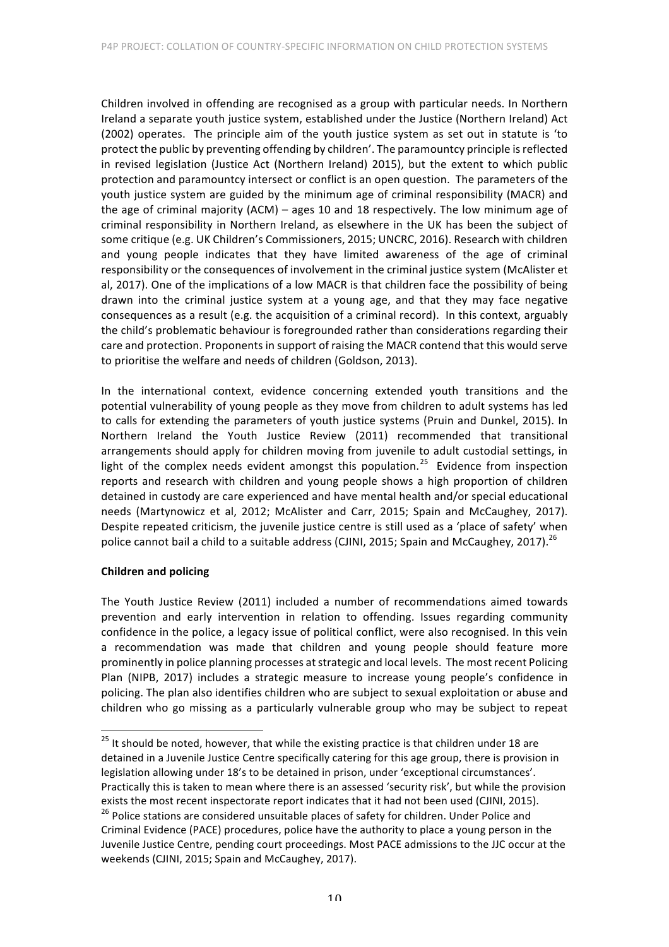Children involved in offending are recognised as a group with particular needs. In Northern Ireland a separate youth justice system, established under the Justice (Northern Ireland) Act (2002) operates. The principle aim of the youth justice system as set out in statute is 'to protect the public by preventing offending by children'. The paramountcy principle is reflected in revised legislation (Justice Act (Northern Ireland) 2015), but the extent to which public protection and paramountcy intersect or conflict is an open question. The parameters of the youth justice system are guided by the minimum age of criminal responsibility (MACR) and the age of criminal majority  $(ACM)$  – ages 10 and 18 respectively. The low minimum age of criminal responsibility in Northern Ireland, as elsewhere in the UK has been the subject of some critique (e.g. UK Children's Commissioners, 2015; UNCRC, 2016). Research with children and young people indicates that they have limited awareness of the age of criminal responsibility or the consequences of involvement in the criminal justice system (McAlister et al, 2017). One of the implications of a low MACR is that children face the possibility of being drawn into the criminal justice system at a young age, and that they may face negative consequences as a result (e.g. the acquisition of a criminal record). In this context, arguably the child's problematic behaviour is foregrounded rather than considerations regarding their care and protection. Proponents in support of raising the MACR contend that this would serve to prioritise the welfare and needs of children (Goldson, 2013).

In the international context, evidence concerning extended youth transitions and the potential vulnerability of young people as they move from children to adult systems has led to calls for extending the parameters of youth justice systems (Pruin and Dunkel, 2015). In Northern Ireland the Youth Justice Review (2011) recommended that transitional arrangements should apply for children moving from juvenile to adult custodial settings, in light of the complex needs evident amongst this population.<sup>25</sup> Evidence from inspection reports and research with children and young people shows a high proportion of children detained in custody are care experienced and have mental health and/or special educational needs (Martynowicz et al, 2012; McAlister and Carr, 2015; Spain and McCaughey, 2017). Despite repeated criticism, the iuvenile iustice centre is still used as a 'place of safety' when police cannot bail a child to a suitable address (CJINI, 2015; Spain and McCaughey, 2017).<sup>26</sup>

# **Children and policing**

The Youth Justice Review (2011) included a number of recommendations aimed towards prevention and early intervention in relation to offending. Issues regarding community confidence in the police, a legacy issue of political conflict, were also recognised. In this vein a recommendation was made that children and young people should feature more prominently in police planning processes at strategic and local levels. The most recent Policing Plan (NIPB, 2017) includes a strategic measure to increase young people's confidence in policing. The plan also identifies children who are subject to sexual exploitation or abuse and children who go missing as a particularly vulnerable group who may be subject to repeat

 $25$  It should be noted, however, that while the existing practice is that children under 18 are detained in a Juvenile Justice Centre specifically catering for this age group, there is provision in legislation allowing under 18's to be detained in prison, under 'exceptional circumstances'. Practically this is taken to mean where there is an assessed 'security risk', but while the provision exists the most recent inspectorate report indicates that it had not been used (CJINI, 2015).

 $26$  Police stations are considered unsuitable places of safety for children. Under Police and Criminal Evidence (PACE) procedures, police have the authority to place a young person in the Juvenile Justice Centre, pending court proceedings. Most PACE admissions to the JJC occur at the weekends (CJINI, 2015; Spain and McCaughey, 2017).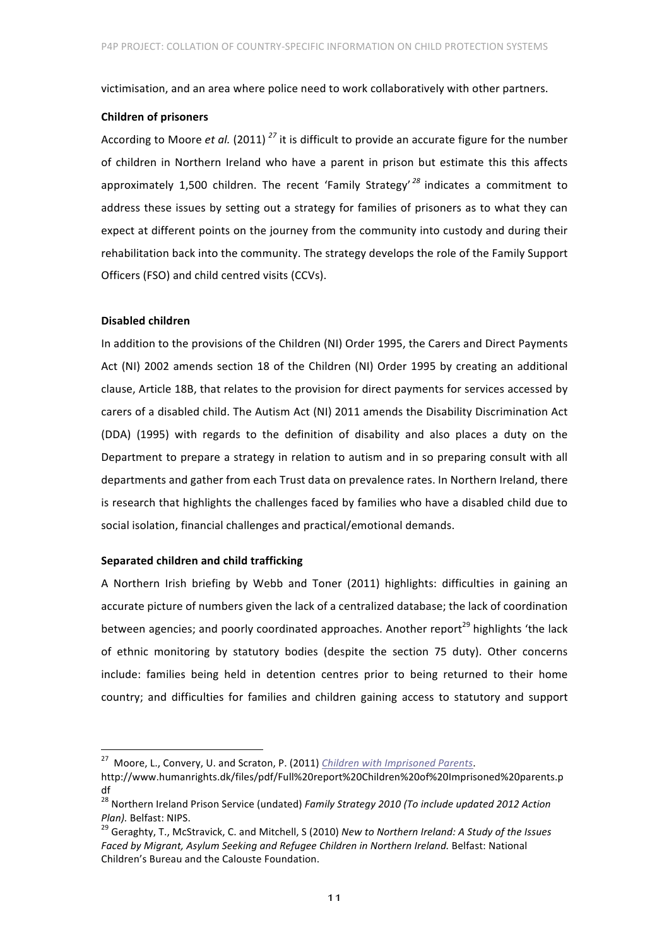victimisation, and an area where police need to work collaboratively with other partners.

## **Children of prisoners**

According to Moore *et al.* (2011)<sup>27</sup> it is difficult to provide an accurate figure for the number of children in Northern Ireland who have a parent in prison but estimate this this affects approximately 1,500 children. The recent 'Family Strategy'<sup>28</sup> indicates a commitment to address these issues by setting out a strategy for families of prisoners as to what they can expect at different points on the journey from the community into custody and during their rehabilitation back into the community. The strategy develops the role of the Family Support Officers (FSO) and child centred visits (CCVs).

#### **Disabled children**

In addition to the provisions of the Children (NI) Order 1995, the Carers and Direct Payments Act (NI) 2002 amends section 18 of the Children (NI) Order 1995 by creating an additional clause, Article 18B, that relates to the provision for direct payments for services accessed by carers of a disabled child. The Autism Act (NI) 2011 amends the Disability Discrimination Act (DDA) (1995) with regards to the definition of disability and also places a duty on the Department to prepare a strategy in relation to autism and in so preparing consult with all departments and gather from each Trust data on prevalence rates. In Northern Ireland, there is research that highlights the challenges faced by families who have a disabled child due to social isolation, financial challenges and practical/emotional demands.

# **Separated children and child trafficking**

A Northern Irish briefing by Webb and Toner (2011) highlights: difficulties in gaining an accurate picture of numbers given the lack of a centralized database; the lack of coordination between agencies; and poorly coordinated approaches. Another report<sup>29</sup> highlights 'the lack of ethnic monitoring by statutory bodies (despite the section 75 duty). Other concerns include: families being held in detention centres prior to being returned to their home country; and difficulties for families and children gaining access to statutory and support

<sup>&</sup>lt;sup>27</sup> Moore, L., Convery, U. and Scraton, P. (2011) *Children with Imprisoned Parents*.

http://www.humanrights.dk/files/pdf/Full%20report%20Children%20of%20Imprisoned%20parents.p df

<sup>&</sup>lt;sup>28</sup> Northern Ireland Prison Service (undated) Family Strategy 2010 (To include updated 2012 Action *Plan).* Belfast: NIPS.<br><sup>29</sup> Geraghty, T., McStravick, C. and Mitchell, S (2010) *New to Northern Ireland: A Study of the Issues* 

Faced by Migrant, Asylum Seeking and Refugee Children in Northern Ireland. Belfast: National Children's Bureau and the Calouste Foundation.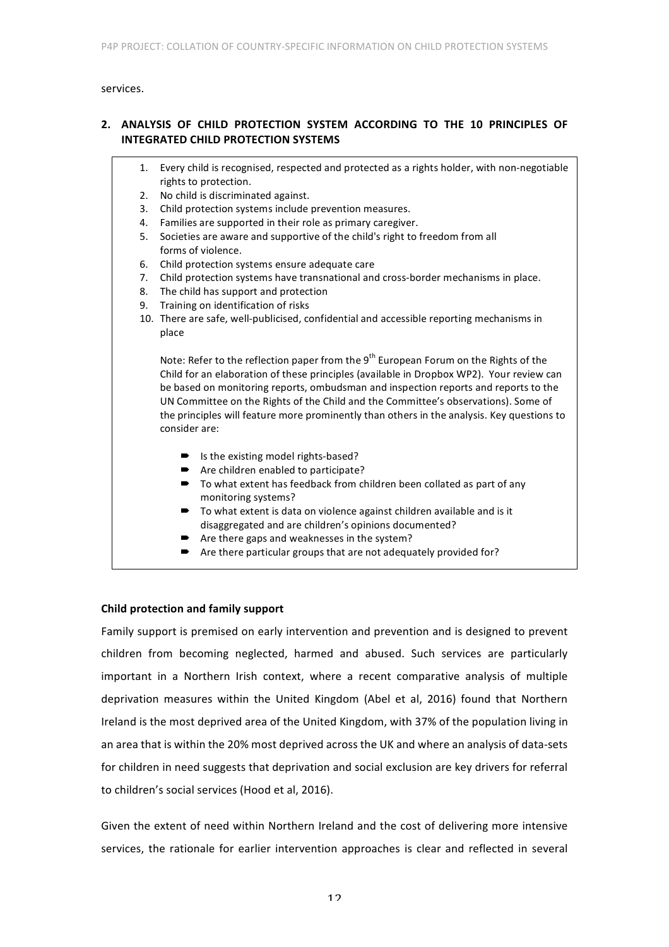services. 

# 2. ANALYSIS OF CHILD PROTECTION SYSTEM ACCORDING TO THE 10 PRINCIPLES OF **INTEGRATED CHILD PROTECTION SYSTEMS**

- 1. Every child is recognised, respected and protected as a rights holder, with non-negotiable rights to protection.
- 2. No child is discriminated against.
- 3. Child protection systems include prevention measures.
- 4. Families are supported in their role as primary caregiver.
- 5. Societies are aware and supportive of the child's right to freedom from all forms of violence.
- 6. Child protection systems ensure adequate care
- 7. Child protection systems have transnational and cross-border mechanisms in place.
- 8. The child has support and protection
- 9. Training on identification of risks
- 10. There are safe, well-publicised, confidential and accessible reporting mechanisms in place

Note: Refer to the reflection paper from the  $9<sup>th</sup>$  European Forum on the Rights of the Child for an elaboration of these principles (available in Dropbox WP2). Your review can be based on monitoring reports, ombudsman and inspection reports and reports to the UN Committee on the Rights of the Child and the Committee's observations). Some of the principles will feature more prominently than others in the analysis. Key questions to consider are:

- $\blacksquare$  Is the existing model rights-based?
- $\rightarrow$  Are children enabled to participate?
- $\blacksquare$  To what extent has feedback from children been collated as part of any monitoring systems?
- $\blacksquare$  To what extent is data on violence against children available and is it disaggregated and are children's opinions documented?
- Are there gaps and weaknesses in the system?
- $\rightarrow$  Are there particular groups that are not adequately provided for?

# **Child protection and family support**

Family support is premised on early intervention and prevention and is designed to prevent children from becoming neglected, harmed and abused. Such services are particularly important in a Northern Irish context, where a recent comparative analysis of multiple deprivation measures within the United Kingdom (Abel et al, 2016) found that Northern Ireland is the most deprived area of the United Kingdom, with 37% of the population living in an area that is within the 20% most deprived across the UK and where an analysis of data-sets for children in need suggests that deprivation and social exclusion are key drivers for referral to children's social services (Hood et al, 2016).

Given the extent of need within Northern Ireland and the cost of delivering more intensive services, the rationale for earlier intervention approaches is clear and reflected in several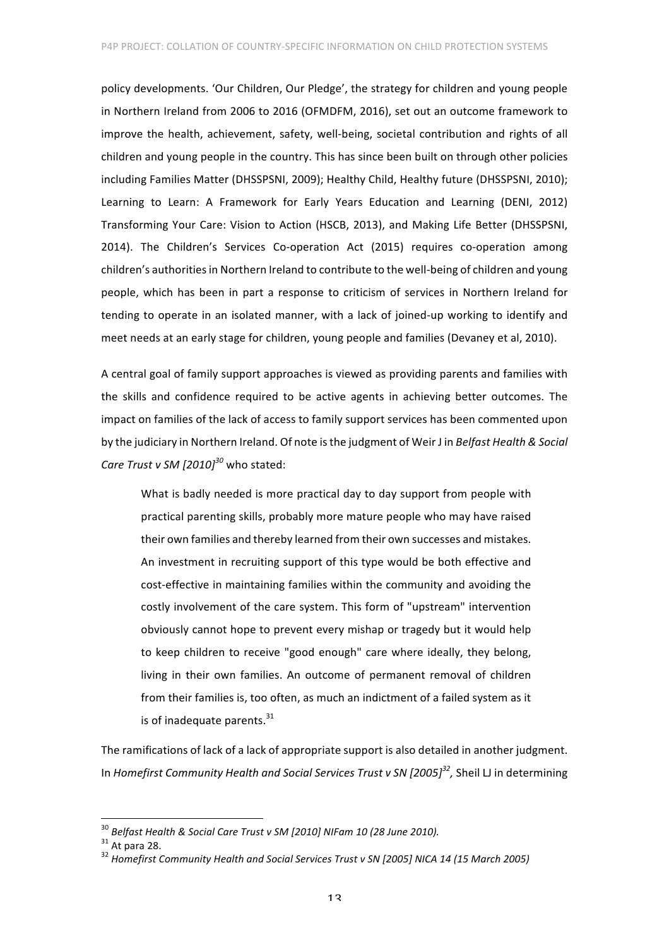policy developments. 'Our Children, Our Pledge', the strategy for children and young people in Northern Ireland from 2006 to 2016 (OFMDFM, 2016), set out an outcome framework to improve the health, achievement, safety, well-being, societal contribution and rights of all children and young people in the country. This has since been built on through other policies including Families Matter (DHSSPSNI, 2009); Healthy Child, Healthy future (DHSSPSNI, 2010); Learning to Learn: A Framework for Early Years Education and Learning (DENI, 2012) Transforming Your Care: Vision to Action (HSCB, 2013), and Making Life Better (DHSSPSNI, 2014). The Children's Services Co-operation Act (2015) requires co-operation among children's authorities in Northern Ireland to contribute to the well-being of children and young people, which has been in part a response to criticism of services in Northern Ireland for tending to operate in an isolated manner, with a lack of joined-up working to identify and meet needs at an early stage for children, young people and families (Devaney et al, 2010).

A central goal of family support approaches is viewed as providing parents and families with the skills and confidence required to be active agents in achieving better outcomes. The impact on families of the lack of access to family support services has been commented upon by the judiciary in Northern Ireland. Of note is the judgment of Weir J in *Belfast Health & Social Care Trust v SM [2010]<sup>30</sup>* who stated:

What is badly needed is more practical day to day support from people with practical parenting skills, probably more mature people who may have raised their own families and thereby learned from their own successes and mistakes. An investment in recruiting support of this type would be both effective and cost-effective in maintaining families within the community and avoiding the costly involvement of the care system. This form of "upstream" intervention obviously cannot hope to prevent every mishap or tragedy but it would help to keep children to receive "good enough" care where ideally, they belong, living in their own families. An outcome of permanent removal of children from their families is, too often, as much an indictment of a failed system as it is of inadequate parents. $^{31}$ 

The ramifications of lack of a lack of appropriate support is also detailed in another judgment. In *Homefirst Community Health and Social Services Trust v SN [2005]<sup>32</sup>, Sheil LJ in determining* 

<sup>&</sup>lt;sup>30</sup> *Belfast Health & Social Care Trust* v SM [2010] NIFam 10 (28 June 2010).<br><sup>31</sup> At para 28. <br><sup>32</sup> Homefirst Community Health and Social Services Trust v SN [2005] NICA 14 (15 March 2005)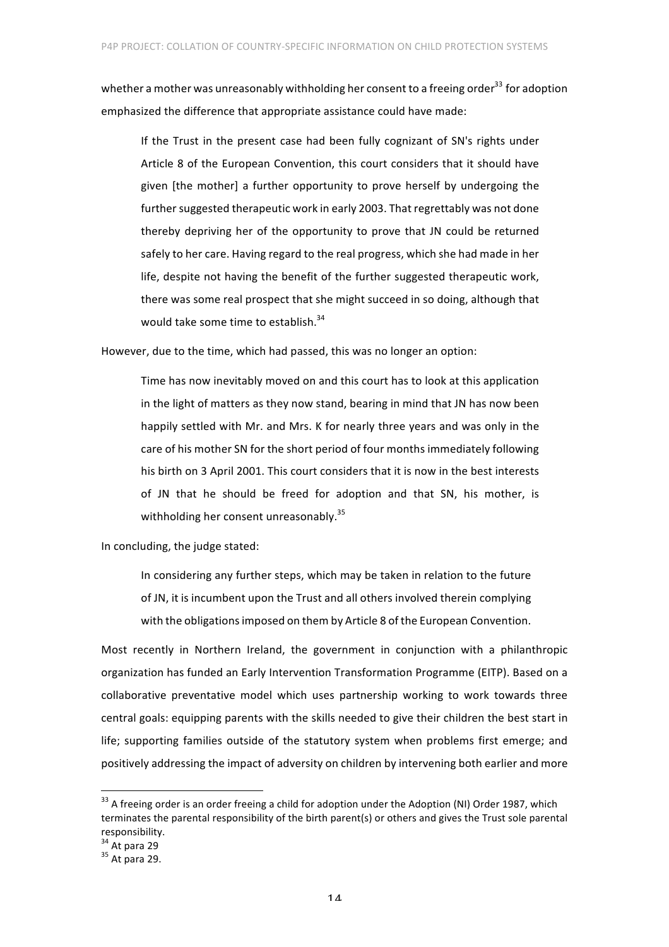whether a mother was unreasonably withholding her consent to a freeing order<sup>33</sup> for adoption emphasized the difference that appropriate assistance could have made:

If the Trust in the present case had been fully cognizant of SN's rights under Article 8 of the European Convention, this court considers that it should have given [the mother] a further opportunity to prove herself by undergoing the further suggested therapeutic work in early 2003. That regrettably was not done thereby depriving her of the opportunity to prove that JN could be returned safely to her care. Having regard to the real progress, which she had made in her life, despite not having the benefit of the further suggested therapeutic work, there was some real prospect that she might succeed in so doing, although that would take some time to establish. $34$ 

However, due to the time, which had passed, this was no longer an option:

Time has now inevitably moved on and this court has to look at this application in the light of matters as they now stand, bearing in mind that JN has now been happily settled with Mr. and Mrs. K for nearly three years and was only in the care of his mother SN for the short period of four months immediately following his birth on 3 April 2001. This court considers that it is now in the best interests of JN that he should be freed for adoption and that SN, his mother, is withholding her consent unreasonably. $35$ 

In concluding, the judge stated:

In considering any further steps, which may be taken in relation to the future of JN, it is incumbent upon the Trust and all others involved therein complying with the obligations imposed on them by Article 8 of the European Convention.

Most recently in Northern Ireland, the government in conjunction with a philanthropic organization has funded an Early Intervention Transformation Programme (EITP). Based on a collaborative preventative model which uses partnership working to work towards three central goals: equipping parents with the skills needed to give their children the best start in life; supporting families outside of the statutory system when problems first emerge; and positively addressing the impact of adversity on children by intervening both earlier and more

 $33$  A freeing order is an order freeing a child for adoption under the Adoption (NI) Order 1987, which terminates the parental responsibility of the birth parent(s) or others and gives the Trust sole parental responsibility.<br>
<sup>34</sup> At para 29

 $35$  At para 29.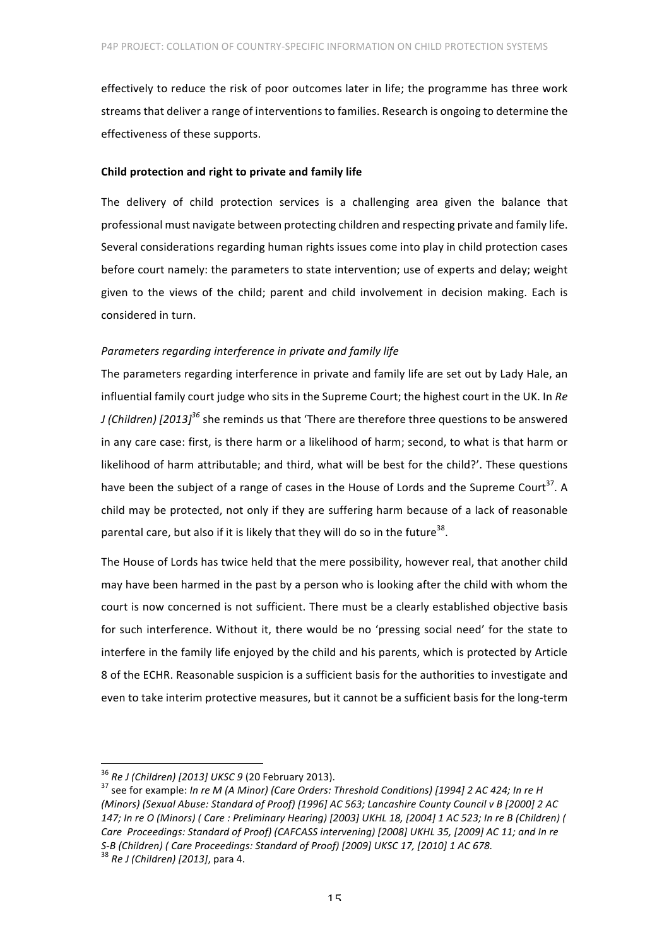effectively to reduce the risk of poor outcomes later in life; the programme has three work streams that deliver a range of interventions to families. Research is ongoing to determine the effectiveness of these supports.

#### **Child protection and right to private and family life**

The delivery of child protection services is a challenging area given the balance that professional must navigate between protecting children and respecting private and family life. Several considerations regarding human rights issues come into play in child protection cases before court namely: the parameters to state intervention; use of experts and delay; weight given to the views of the child; parent and child involvement in decision making. Each is considered in turn.

# *Parameters regarding interference in private and family life*

The parameters regarding interference in private and family life are set out by Lady Hale, an influential family court judge who sits in the Supreme Court; the highest court in the UK. In Re *J* (Children) [2013]<sup>36</sup> she reminds us that 'There are therefore three questions to be answered in any care case: first, is there harm or a likelihood of harm; second, to what is that harm or likelihood of harm attributable; and third, what will be best for the child?'. These questions have been the subject of a range of cases in the House of Lords and the Supreme Court<sup>37</sup>. A child may be protected, not only if they are suffering harm because of a lack of reasonable parental care, but also if it is likely that they will do so in the future<sup>38</sup>.

The House of Lords has twice held that the mere possibility, however real, that another child may have been harmed in the past by a person who is looking after the child with whom the court is now concerned is not sufficient. There must be a clearly established objective basis for such interference. Without it, there would be no 'pressing social need' for the state to interfere in the family life enjoyed by the child and his parents, which is protected by Article 8 of the ECHR. Reasonable suspicion is a sufficient basis for the authorities to investigate and even to take interim protective measures, but it cannot be a sufficient basis for the long-term

 $36$  *Re J* (Children) [2013] UKSC 9 (20 February 2013).<br> $37$  see for example: *In re M (A Minor) (Care Orders: Threshold Conditions)* [1994] 2 AC 424; *In re H (Minors) (Sexual Abuse: Standard of Proof) [1996] AC 563; Lancashire County Council v B [2000] 2 AC*  147; In re O (Minors) ( Care : Preliminary Hearing) [2003] UKHL 18, [2004] 1 AC 523; In re B (Children) ( Care Proceedings: Standard of Proof) (CAFCASS intervening) [2008] UKHL 35, [2009] AC 11; and In re *S-B* (Children) ( Care Proceedings: Standard of Proof) [2009] UKSC 17, [2010] 1 AC 678.<br><sup>38</sup> Re J (Children) [2013], para 4.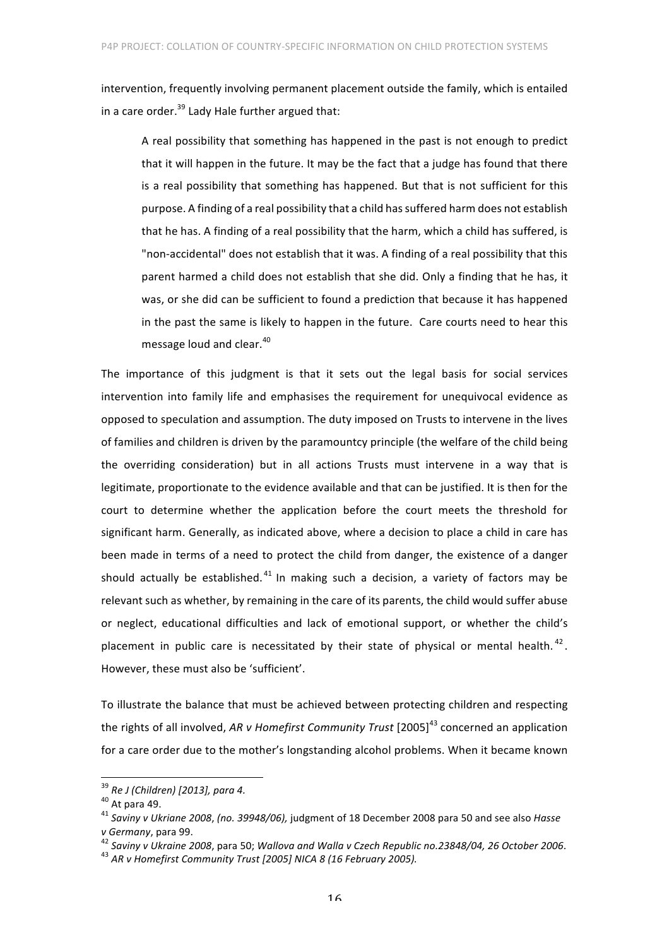intervention, frequently involving permanent placement outside the family, which is entailed in a care order. $39$  Lady Hale further argued that:

A real possibility that something has happened in the past is not enough to predict that it will happen in the future. It may be the fact that a judge has found that there is a real possibility that something has happened. But that is not sufficient for this purpose. A finding of a real possibility that a child has suffered harm does not establish that he has. A finding of a real possibility that the harm, which a child has suffered, is "non-accidental" does not establish that it was. A finding of a real possibility that this parent harmed a child does not establish that she did. Only a finding that he has, it was, or she did can be sufficient to found a prediction that because it has happened in the past the same is likely to happen in the future. Care courts need to hear this message loud and clear.<sup>40</sup>

The importance of this judgment is that it sets out the legal basis for social services intervention into family life and emphasises the requirement for unequivocal evidence as opposed to speculation and assumption. The duty imposed on Trusts to intervene in the lives of families and children is driven by the paramountcy principle (the welfare of the child being the overriding consideration) but in all actions Trusts must intervene in a way that is legitimate, proportionate to the evidence available and that can be justified. It is then for the court to determine whether the application before the court meets the threshold for significant harm. Generally, as indicated above, where a decision to place a child in care has been made in terms of a need to protect the child from danger, the existence of a danger should actually be established.  $41$  In making such a decision, a variety of factors may be relevant such as whether, by remaining in the care of its parents, the child would suffer abuse or neglect, educational difficulties and lack of emotional support, or whether the child's placement in public care is necessitated by their state of physical or mental health.  $42$ . However, these must also be 'sufficient'.

To illustrate the balance that must be achieved between protecting children and respecting the rights of all involved, AR *v* Homefirst Community Trust [2005]<sup>43</sup> concerned an application for a care order due to the mother's longstanding alcohol problems. When it became known

<sup>&</sup>lt;sup>39</sup> Re J (Children) [2013], para 4.<br><sup>40</sup> At para 49.<br><sup>41</sup> Saviny v Ukriane 2008, (no. 39948/06), judgment of 18 December 2008 para 50 and see also Hasse v Germany, para 99.<br><sup>42</sup> Saviny v Ukraine 2008, para 50; Wallova and Walla v Czech Republic no.23848/04, 26 October 2006.<br><sup>43</sup> AR v Homefirst Community Trust [2005] NICA 8 (16 February 2005).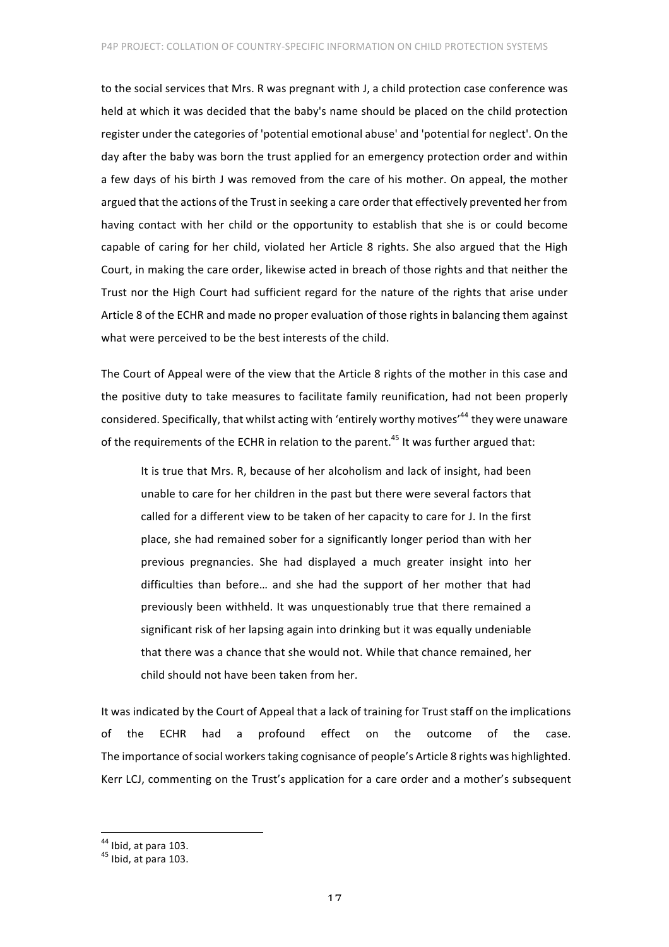to the social services that Mrs. R was pregnant with J, a child protection case conference was held at which it was decided that the baby's name should be placed on the child protection register under the categories of 'potential emotional abuse' and 'potential for neglect'. On the day after the baby was born the trust applied for an emergency protection order and within a few days of his birth J was removed from the care of his mother. On appeal, the mother argued that the actions of the Trust in seeking a care order that effectively prevented her from having contact with her child or the opportunity to establish that she is or could become capable of caring for her child, violated her Article 8 rights. She also argued that the High Court, in making the care order, likewise acted in breach of those rights and that neither the Trust nor the High Court had sufficient regard for the nature of the rights that arise under Article 8 of the ECHR and made no proper evaluation of those rights in balancing them against what were perceived to be the best interests of the child.

The Court of Appeal were of the view that the Article 8 rights of the mother in this case and the positive duty to take measures to facilitate family reunification, had not been properly considered. Specifically, that whilst acting with 'entirely worthy motives'<sup>44</sup> they were unaware of the requirements of the ECHR in relation to the parent.<sup>45</sup> It was further argued that:

It is true that Mrs. R, because of her alcoholism and lack of insight, had been unable to care for her children in the past but there were several factors that called for a different view to be taken of her capacity to care for J. In the first place, she had remained sober for a significantly longer period than with her previous pregnancies. She had displayed a much greater insight into her difficulties than before... and she had the support of her mother that had previously been withheld. It was unquestionably true that there remained a significant risk of her lapsing again into drinking but it was equally undeniable that there was a chance that she would not. While that chance remained, her child should not have been taken from her.

It was indicated by the Court of Appeal that a lack of training for Trust staff on the implications of the ECHR had a profound effect on the outcome of the case. The importance of social workers taking cognisance of people's Article 8 rights was highlighted. Kerr LCJ, commenting on the Trust's application for a care order and a mother's subsequent

 $44$  Ibid, at para 103.<br> $45$  Ibid, at para 103.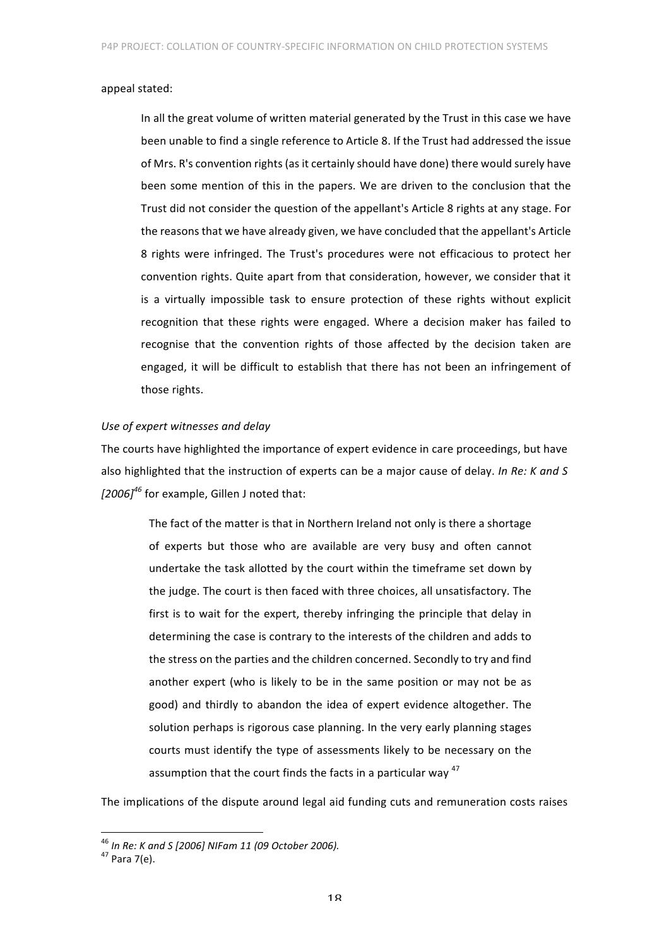#### appeal stated:

In all the great volume of written material generated by the Trust in this case we have been unable to find a single reference to Article 8. If the Trust had addressed the issue of Mrs. R's convention rights (as it certainly should have done) there would surely have been some mention of this in the papers. We are driven to the conclusion that the Trust did not consider the question of the appellant's Article 8 rights at any stage. For the reasons that we have already given, we have concluded that the appellant's Article 8 rights were infringed. The Trust's procedures were not efficacious to protect her convention rights. Quite apart from that consideration, however, we consider that it is a virtually impossible task to ensure protection of these rights without explicit recognition that these rights were engaged. Where a decision maker has failed to recognise that the convention rights of those affected by the decision taken are engaged, it will be difficult to establish that there has not been an infringement of those rights.

## Use of expert witnesses and delay

The courts have highlighted the importance of expert evidence in care proceedings, but have also highlighted that the instruction of experts can be a major cause of delay. *In Re: K and S [2006]<sup>46</sup>* for example, Gillen J noted that:

The fact of the matter is that in Northern Ireland not only is there a shortage of experts but those who are available are very busy and often cannot undertake the task allotted by the court within the timeframe set down by the judge. The court is then faced with three choices, all unsatisfactory. The first is to wait for the expert, thereby infringing the principle that delay in determining the case is contrary to the interests of the children and adds to the stress on the parties and the children concerned. Secondly to try and find another expert (who is likely to be in the same position or may not be as good) and thirdly to abandon the idea of expert evidence altogether. The solution perhaps is rigorous case planning. In the very early planning stages courts must identify the type of assessments likely to be necessary on the assumption that the court finds the facts in a particular way  $47$ 

The implications of the dispute around legal aid funding cuts and remuneration costs raises

<sup>&</sup>lt;sup>46</sup> In Re: K and S [2006] NIFam 11 (09 October 2006).<br><sup>47</sup> Para 7(e).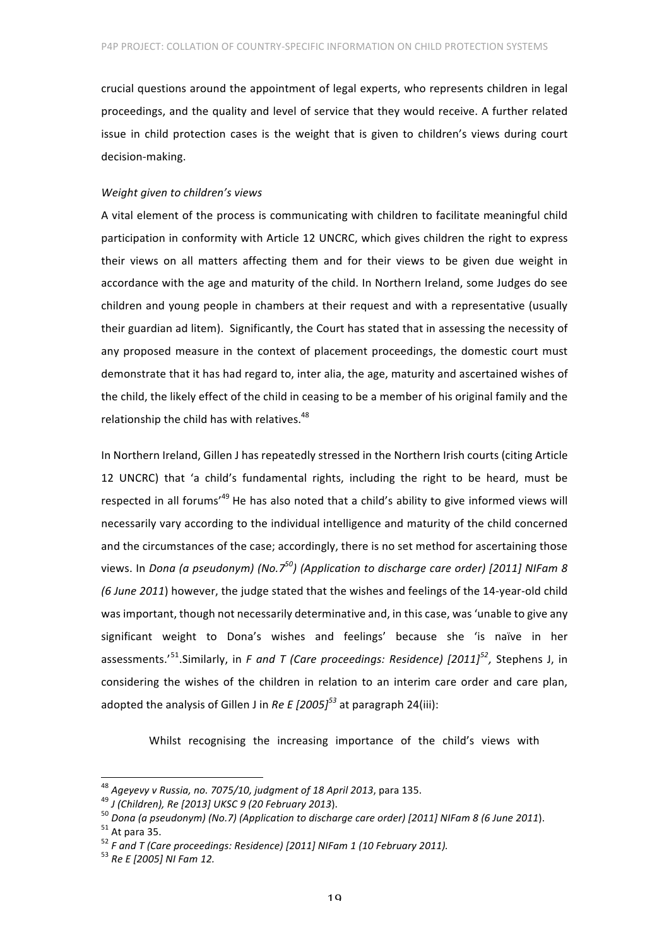crucial questions around the appointment of legal experts, who represents children in legal proceedings, and the quality and level of service that they would receive. A further related issue in child protection cases is the weight that is given to children's views during court decision-making. 

#### *Weight given to children's views*

A vital element of the process is communicating with children to facilitate meaningful child participation in conformity with Article 12 UNCRC, which gives children the right to express their views on all matters affecting them and for their views to be given due weight in accordance with the age and maturity of the child. In Northern Ireland, some Judges do see children and young people in chambers at their request and with a representative (usually their guardian ad litem). Significantly, the Court has stated that in assessing the necessity of any proposed measure in the context of placement proceedings, the domestic court must demonstrate that it has had regard to, inter alia, the age, maturity and ascertained wishes of the child, the likely effect of the child in ceasing to be a member of his original family and the relationship the child has with relatives.<sup>48</sup>

In Northern Ireland, Gillen J has repeatedly stressed in the Northern Irish courts (citing Article 12 UNCRC) that 'a child's fundamental rights, including the right to be heard, must be respected in all forums<sup> $49$ </sup> He has also noted that a child's ability to give informed views will necessarily vary according to the individual intelligence and maturity of the child concerned and the circumstances of the case; accordingly, there is no set method for ascertaining those views. In *Dona (a pseudonym)* (No.7<sup>50</sup>) (Application to discharge care order) [2011] NIFam 8 *(6 June 2011)* however, the judge stated that the wishes and feelings of the 14-year-old child was important, though not necessarily determinative and, in this case, was 'unable to give any significant weight to Dona's wishes and feelings' because she 'is naïve in her assessments.'<sup>51</sup>.Similarly, in F and T (Care proceedings: Residence) [2011]<sup>52</sup>, Stephens J, in considering the wishes of the children in relation to an interim care order and care plan, adopted the analysis of Gillen J in *Re E*  $[2005]^{53}$  at paragraph 24(iii):

Whilst recognising the increasing importance of the child's views with

<sup>&</sup>lt;sup>48</sup> Ageyevy v Russia, no. 7075/10, judgment of 18 April 2013, para 135.<br><sup>49</sup> J (Children), Re [2013] UKSC 9 (20 February 2013).<br><sup>50</sup> Dona (a pseudonym) (No.7) (Application to discharge care order) [2011] NIFam 8 (6 June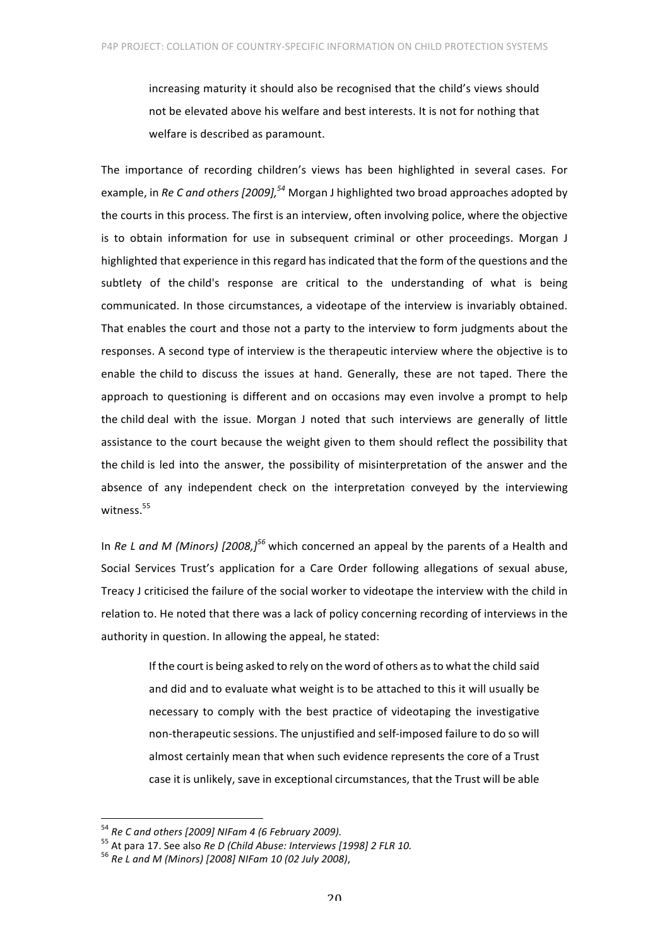increasing maturity it should also be recognised that the child's views should not be elevated above his welfare and best interests. It is not for nothing that welfare is described as paramount.

The importance of recording children's views has been highlighted in several cases. For example, in *Re C and others [2009]*,<sup>54</sup> Morgan J highlighted two broad approaches adopted by the courts in this process. The first is an interview, often involving police, where the objective is to obtain information for use in subsequent criminal or other proceedings. Morgan J highlighted that experience in this regard has indicated that the form of the questions and the subtlety of the child's response are critical to the understanding of what is being communicated. In those circumstances, a videotape of the interview is invariably obtained. That enables the court and those not a party to the interview to form judgments about the responses. A second type of interview is the therapeutic interview where the objective is to enable the child to discuss the issues at hand. Generally, these are not taped. There the approach to questioning is different and on occasions may even involve a prompt to help the child deal with the issue. Morgan J noted that such interviews are generally of little assistance to the court because the weight given to them should reflect the possibility that the child is led into the answer, the possibility of misinterpretation of the answer and the absence of any independent check on the interpretation conveyed by the interviewing witness.<sup>55</sup>

In *Re L* and *M* (Minors) (2008.<sup>156</sup> which concerned an appeal by the parents of a Health and Social Services Trust's application for a Care Order following allegations of sexual abuse, Treacy J criticised the failure of the social worker to videotape the interview with the child in relation to. He noted that there was a lack of policy concerning recording of interviews in the authority in question. In allowing the appeal, he stated:

> If the court is being asked to rely on the word of others as to what the child said and did and to evaluate what weight is to be attached to this it will usually be necessary to comply with the best practice of videotaping the investigative non-therapeutic sessions. The unjustified and self-imposed failure to do so will almost certainly mean that when such evidence represents the core of a Trust case it is unlikely, save in exceptional circumstances, that the Trust will be able

<sup>&</sup>lt;sup>54</sup> *Re C and others [2009] NIFam 4 (6 February 2009).*<br><sup>55</sup> At para 17. See also *Re D (Child Abuse: Interviews [1998] 2 FLR 10.*  $^{56}$  *Re L and M (Minors) [2008] NIFam 10 (02 July 2008)*,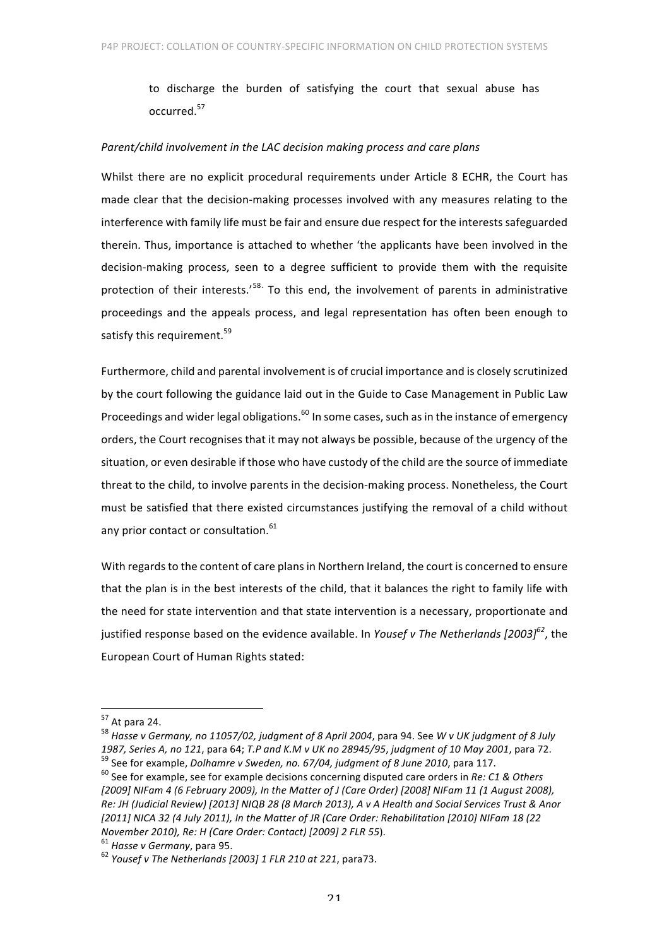to discharge the burden of satisfying the court that sexual abuse has occurred.<sup>57</sup>

#### *Parent/child involvement in the LAC decision making process and care plans*

Whilst there are no explicit procedural requirements under Article 8 ECHR, the Court has made clear that the decision-making processes involved with any measures relating to the interference with family life must be fair and ensure due respect for the interests safeguarded therein. Thus, importance is attached to whether 'the applicants have been involved in the decision-making process, seen to a degree sufficient to provide them with the requisite protection of their interests.'<sup>58.</sup> To this end, the involvement of parents in administrative proceedings and the appeals process, and legal representation has often been enough to satisfy this requirement.<sup>59</sup>

Furthermore, child and parental involvement is of crucial importance and is closely scrutinized by the court following the guidance laid out in the Guide to Case Management in Public Law Proceedings and wider legal obligations.<sup>60</sup> In some cases, such as in the instance of emergency orders, the Court recognises that it may not always be possible, because of the urgency of the situation, or even desirable if those who have custody of the child are the source of immediate threat to the child, to involve parents in the decision-making process. Nonetheless, the Court must be satisfied that there existed circumstances justifying the removal of a child without any prior contact or consultation. $61$ 

With regards to the content of care plans in Northern Ireland, the court is concerned to ensure that the plan is in the best interests of the child, that it balances the right to family life with the need for state intervention and that state intervention is a necessary, proportionate and justified response based on the evidence available. In *Yousef v The Netherlands* [2003]<sup>62</sup>, the European Court of Human Rights stated:

<sup>&</sup>lt;sup>57</sup> At para 24.<br><sup>58</sup> Hasse v Germany, no 11057/02, judgment of 8 April 2004, para 94. See W v UK judgment of 8 July 1987, Series A, no 121, para 64; T.P and K.M v UK no 28945/95, judgment of 10 May 2001, para 72.<br><sup>59</sup> See for example, *Dolhamre v Sweden, no. 67/04, judgment of 8 June 2010*, para 117.<br><sup>60</sup> See for example, see for examp

<sup>[2009]</sup> NIFam 4 (6 February 2009), In the Matter of J (Care Order) [2008] NIFam 11 (1 August 2008), Re: JH (Judicial Review) [2013] NIQB 28 (8 March 2013), A v A Health and Social Services Trust & Anor [2011] NICA 32 (4 July 2011), In the Matter of JR (Care Order: Rehabilitation [2010] NIFam 18 (22 *November 2010), Re: H (Care Order: Contact)* [2009] 2 *FLR 55*). <sup>61</sup> *Hasse v Germany, para 95. 62 Yousef v The Netherlands* [2003] 1 *FLR 210 at 221, para73.*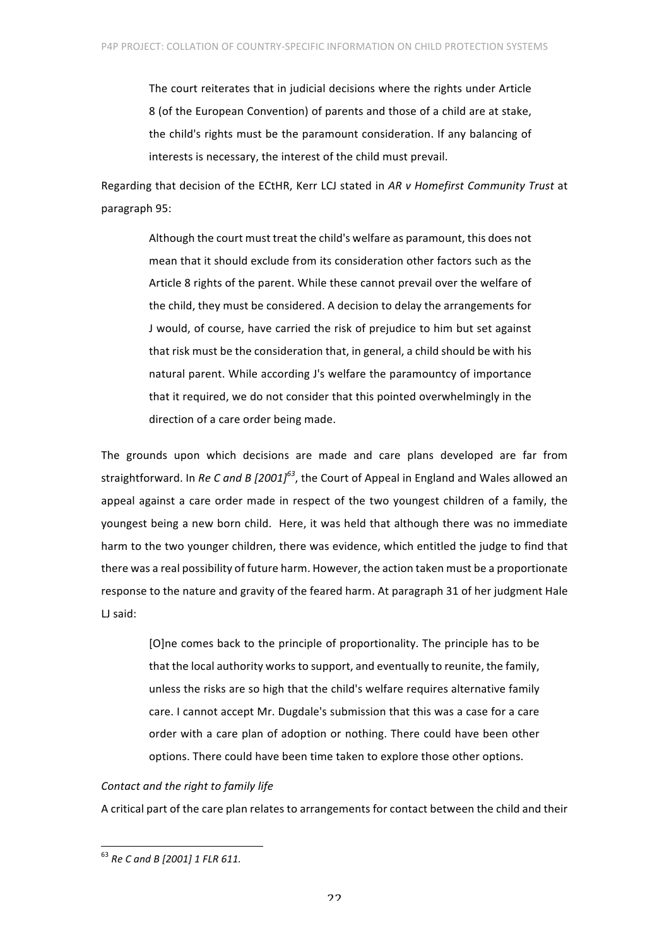The court reiterates that in judicial decisions where the rights under Article 8 (of the European Convention) of parents and those of a child are at stake, the child's rights must be the paramount consideration. If any balancing of interests is necessary, the interest of the child must prevail.

Regarding that decision of the ECtHR, Kerr LCJ stated in AR v Homefirst Community Trust at paragraph 95:

Although the court must treat the child's welfare as paramount, this does not mean that it should exclude from its consideration other factors such as the Article 8 rights of the parent. While these cannot prevail over the welfare of the child, they must be considered. A decision to delay the arrangements for J would, of course, have carried the risk of prejudice to him but set against that risk must be the consideration that, in general, a child should be with his natural parent. While according J's welfare the paramountcy of importance that it required, we do not consider that this pointed overwhelmingly in the direction of a care order being made.

The grounds upon which decisions are made and care plans developed are far from straightforward. In *Re C and B* [2001]<sup>63</sup>, the Court of Appeal in England and Wales allowed an appeal against a care order made in respect of the two youngest children of a family, the youngest being a new born child. Here, it was held that although there was no immediate harm to the two younger children, there was evidence, which entitled the judge to find that there was a real possibility of future harm. However, the action taken must be a proportionate response to the nature and gravity of the feared harm. At paragraph 31 of her judgment Hale LJ said:

> [O]ne comes back to the principle of proportionality. The principle has to be that the local authority works to support, and eventually to reunite, the family, unless the risks are so high that the child's welfare requires alternative family care. I cannot accept Mr. Dugdale's submission that this was a case for a care order with a care plan of adoption or nothing. There could have been other options. There could have been time taken to explore those other options.

## *Contact and the right to family life*

A critical part of the care plan relates to arrangements for contact between the child and their

<sup>&</sup>lt;sup>63</sup> Re C and B [2001] 1 FLR 611.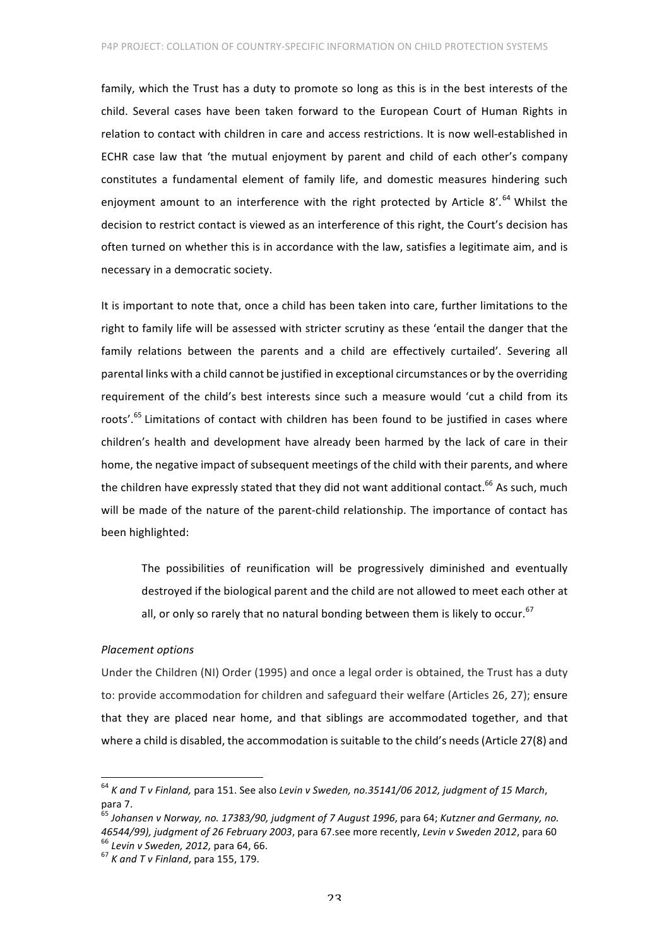family, which the Trust has a duty to promote so long as this is in the best interests of the child. Several cases have been taken forward to the European Court of Human Rights in relation to contact with children in care and access restrictions. It is now well-established in ECHR case law that 'the mutual enjoyment by parent and child of each other's company constitutes a fundamental element of family life, and domestic measures hindering such enjoyment amount to an interference with the right protected by Article 8'.<sup>64</sup> Whilst the decision to restrict contact is viewed as an interference of this right, the Court's decision has often turned on whether this is in accordance with the law, satisfies a legitimate aim, and is necessary in a democratic society.

It is important to note that, once a child has been taken into care, further limitations to the right to family life will be assessed with stricter scrutiny as these 'entail the danger that the family relations between the parents and a child are effectively curtailed'. Severing all parental links with a child cannot be justified in exceptional circumstances or by the overriding requirement of the child's best interests since such a measure would 'cut a child from its roots'.<sup>65</sup> Limitations of contact with children has been found to be justified in cases where children's health and development have already been harmed by the lack of care in their home, the negative impact of subsequent meetings of the child with their parents, and where the children have expressly stated that they did not want additional contact.<sup>66</sup> As such, much will be made of the nature of the parent-child relationship. The importance of contact has been highlighted:

The possibilities of reunification will be progressively diminished and eventually destroyed if the biological parent and the child are not allowed to meet each other at all, or only so rarely that no natural bonding between them is likely to occur.<sup>67</sup>

## *Placement options*

Under the Children (NI) Order (1995) and once a legal order is obtained, the Trust has a duty to: provide accommodation for children and safeguard their welfare (Articles 26, 27); ensure that they are placed near home, and that siblings are accommodated together, and that where a child is disabled, the accommodation is suitable to the child's needs (Article 27(8) and

<sup>&</sup>lt;sup>64</sup> K and T v Finland, para 151. See also Levin v Sweden, no.35141/06 2012, judgment of 15 March, para 7.<br><sup>65</sup> Johansen v Norwav, no. 17383/90, judgment of 7 August 1996, para 64; Kutzner and Germany, no.

*<sup>46544/99),</sup> judgment of 26 February 2003,* para 67.see more recently, *Levin v Sweden 2012,* para 60 <sup>66</sup> *Levin v Sweden, 2012, para* 60 *cf K and T v Finland, para* 155, 179.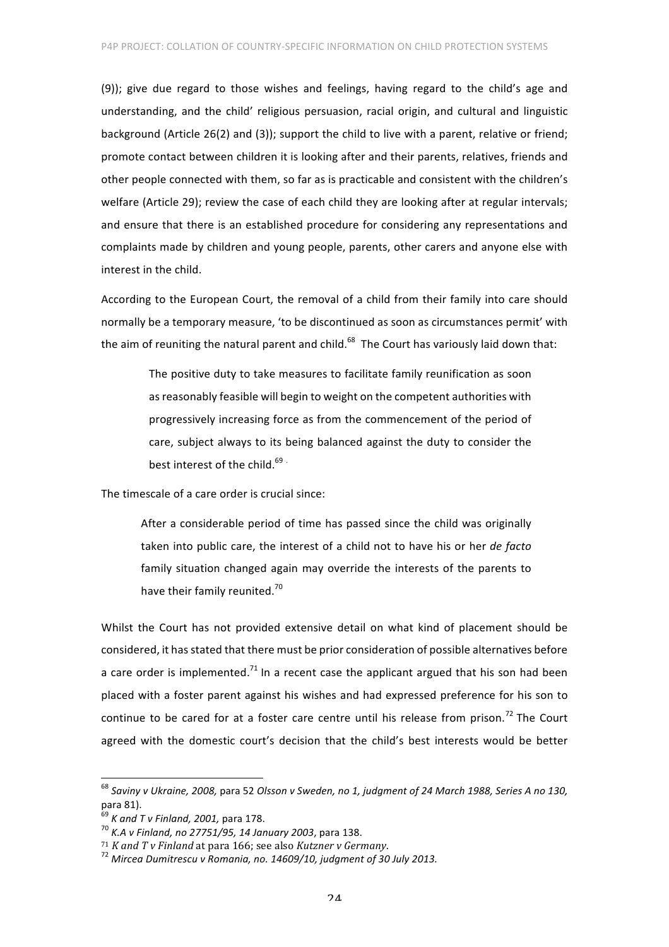(9)); give due regard to those wishes and feelings, having regard to the child's age and understanding, and the child' religious persuasion, racial origin, and cultural and linguistic background (Article 26(2) and (3)); support the child to live with a parent, relative or friend; promote contact between children it is looking after and their parents, relatives, friends and other people connected with them, so far as is practicable and consistent with the children's welfare (Article 29); review the case of each child they are looking after at regular intervals; and ensure that there is an established procedure for considering any representations and complaints made by children and young people, parents, other carers and anyone else with interest in the child.

According to the European Court, the removal of a child from their family into care should normally be a temporary measure, 'to be discontinued as soon as circumstances permit' with the aim of reuniting the natural parent and child.<sup>68</sup> The Court has variously laid down that:

> The positive duty to take measures to facilitate family reunification as soon as reasonably feasible will begin to weight on the competent authorities with progressively increasing force as from the commencement of the period of care, subject always to its being balanced against the duty to consider the best interest of the child.<sup>69</sup>

The timescale of a care order is crucial since:

After a considerable period of time has passed since the child was originally taken into public care, the interest of a child not to have his or her *de facto* family situation changed again may override the interests of the parents to have their family reunited.<sup>70</sup>

Whilst the Court has not provided extensive detail on what kind of placement should be considered, it has stated that there must be prior consideration of possible alternatives before a care order is implemented.<sup>71</sup> In a recent case the applicant argued that his son had been placed with a foster parent against his wishes and had expressed preference for his son to continue to be cared for at a foster care centre until his release from prison.<sup>72</sup> The Court agreed with the domestic court's decision that the child's best interests would be better

<sup>&</sup>lt;sup>68</sup> Saviny v Ukraine, 2008, para 52 Olsson v Sweden, no 1, judgment of 24 March 1988, Series A no 130, para 81).

<sup>&</sup>lt;sup>69</sup> *K and T v Finland, 2001,* para 178.<br><sup>70</sup> *K.A v Finland, no 27751/95, 14 January 2003,* para 138.

<sup>&</sup>lt;sup>71</sup> *K* and *T* v Finland at para 166; see also *Kutzner v Germany.*<br><sup>72</sup> Mircea Dumitrescu v Romania, no. 14609/10, judgment of 30 July 2013.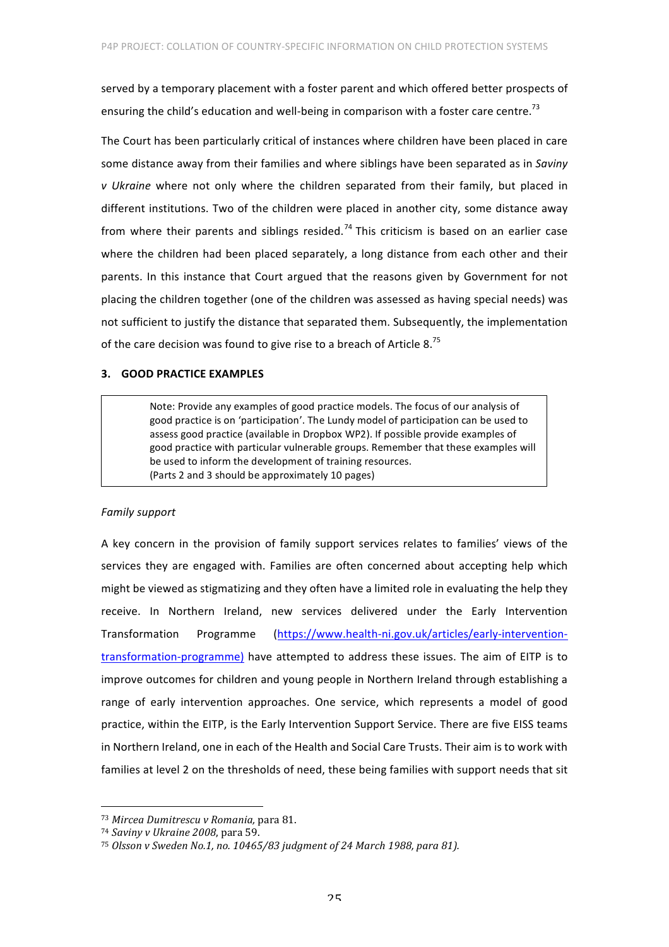served by a temporary placement with a foster parent and which offered better prospects of ensuring the child's education and well-being in comparison with a foster care centre.<sup>73</sup>

The Court has been particularly critical of instances where children have been placed in care some distance away from their families and where siblings have been separated as in *Saviny v* Ukraine where not only where the children separated from their family, but placed in different institutions. Two of the children were placed in another city, some distance away from where their parents and siblings resided.<sup>74</sup> This criticism is based on an earlier case where the children had been placed separately, a long distance from each other and their parents. In this instance that Court argued that the reasons given by Government for not placing the children together (one of the children was assessed as having special needs) was not sufficient to justify the distance that separated them. Subsequently, the implementation of the care decision was found to give rise to a breach of Article 8.<sup>75</sup>

# **3. GOOD PRACTICE EXAMPLES**

Note: Provide any examples of good practice models. The focus of our analysis of good practice is on 'participation'. The Lundy model of participation can be used to assess good practice (available in Dropbox WP2). If possible provide examples of good practice with particular vulnerable groups. Remember that these examples will be used to inform the development of training resources. (Parts 2 and 3 should be approximately 10 pages)

## *Family support*

A key concern in the provision of family support services relates to families' views of the services they are engaged with. Families are often concerned about accepting help which might be viewed as stigmatizing and they often have a limited role in evaluating the help they receive. In Northern Ireland, new services delivered under the Early Intervention Transformation Programme (https://www.health-ni.gov.uk/articles/early-interventiontransformation-programme) have attempted to address these issues. The aim of EITP is to improve outcomes for children and young people in Northern Ireland through establishing a range of early intervention approaches. One service, which represents a model of good practice, within the EITP, is the Early Intervention Support Service. There are five EISS teams in Northern Ireland, one in each of the Health and Social Care Trusts. Their aim is to work with families at level 2 on the thresholds of need, these being families with support needs that sit

 

<sup>73</sup> *Mircea Dumitrescu v Romania,* para 81.

<sup>74</sup> *Saviny v Ukraine 2008*, para 59.

<sup>&</sup>lt;sup>75</sup> Olsson v Sweden No.1, no. 10465/83 judgment of 24 March 1988, para 81).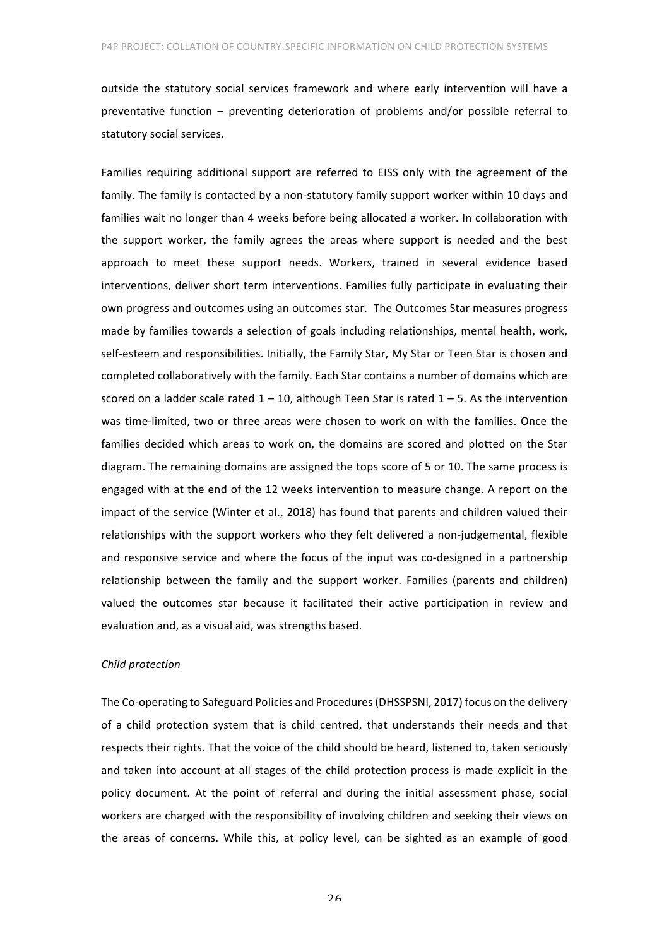outside the statutory social services framework and where early intervention will have a preventative function  $-$  preventing deterioration of problems and/or possible referral to statutory social services.

Families requiring additional support are referred to EISS only with the agreement of the family. The family is contacted by a non-statutory family support worker within 10 days and families wait no longer than 4 weeks before being allocated a worker. In collaboration with the support worker, the family agrees the areas where support is needed and the best approach to meet these support needs. Workers, trained in several evidence based interventions, deliver short term interventions. Families fully participate in evaluating their own progress and outcomes using an outcomes star. The Outcomes Star measures progress made by families towards a selection of goals including relationships, mental health, work, self-esteem and responsibilities. Initially, the Family Star, My Star or Teen Star is chosen and completed collaboratively with the family. Each Star contains a number of domains which are scored on a ladder scale rated  $1 - 10$ , although Teen Star is rated  $1 - 5$ . As the intervention was time-limited, two or three areas were chosen to work on with the families. Once the families decided which areas to work on, the domains are scored and plotted on the Star diagram. The remaining domains are assigned the tops score of 5 or 10. The same process is engaged with at the end of the 12 weeks intervention to measure change. A report on the impact of the service (Winter et al., 2018) has found that parents and children valued their relationships with the support workers who they felt delivered a non-judgemental, flexible and responsive service and where the focus of the input was co-designed in a partnership relationship between the family and the support worker. Families (parents and children) valued the outcomes star because it facilitated their active participation in review and evaluation and, as a visual aid, was strengths based.

## *Child protection*

The Co-operating to Safeguard Policies and Procedures (DHSSPSNI, 2017) focus on the delivery of a child protection system that is child centred, that understands their needs and that respects their rights. That the voice of the child should be heard, listened to, taken seriously and taken into account at all stages of the child protection process is made explicit in the policy document. At the point of referral and during the initial assessment phase, social workers are charged with the responsibility of involving children and seeking their views on the areas of concerns. While this, at policy level, can be sighted as an example of good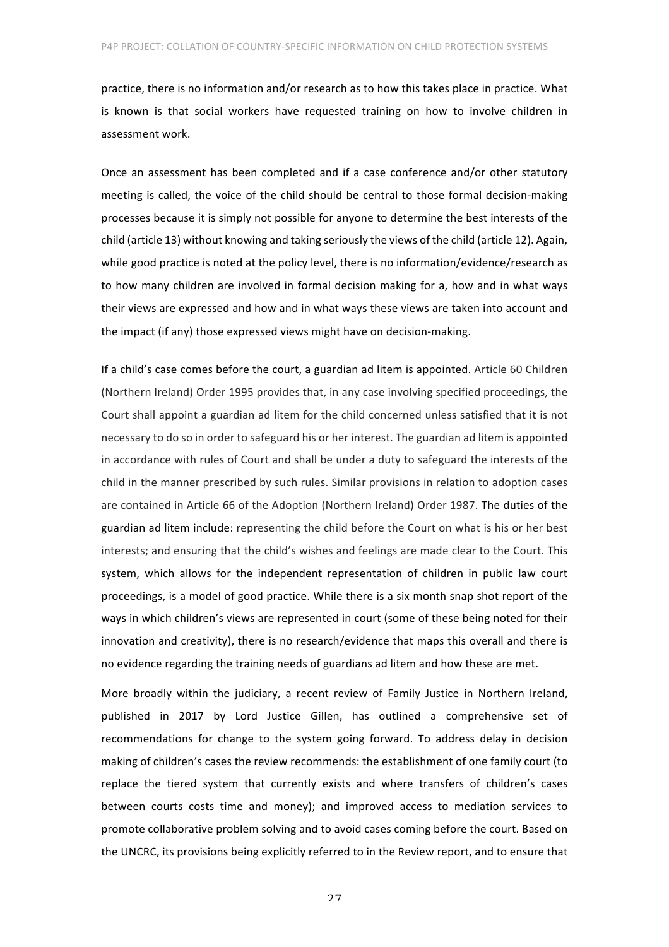practice, there is no information and/or research as to how this takes place in practice. What is known is that social workers have requested training on how to involve children in assessment work.

Once an assessment has been completed and if a case conference and/or other statutory meeting is called, the voice of the child should be central to those formal decision-making processes because it is simply not possible for anyone to determine the best interests of the child (article 13) without knowing and taking seriously the views of the child (article 12). Again, while good practice is noted at the policy level, there is no information/evidence/research as to how many children are involved in formal decision making for a, how and in what ways their views are expressed and how and in what ways these views are taken into account and the impact (if any) those expressed views might have on decision-making.

If a child's case comes before the court, a guardian ad litem is appointed. Article 60 Children (Northern Ireland) Order 1995 provides that, in any case involving specified proceedings, the Court shall appoint a guardian ad litem for the child concerned unless satisfied that it is not necessary to do so in order to safeguard his or her interest. The guardian ad litem is appointed in accordance with rules of Court and shall be under a duty to safeguard the interests of the child in the manner prescribed by such rules. Similar provisions in relation to adoption cases are contained in Article 66 of the Adoption (Northern Ireland) Order 1987. The duties of the guardian ad litem include: representing the child before the Court on what is his or her best interests; and ensuring that the child's wishes and feelings are made clear to the Court. This system, which allows for the independent representation of children in public law court proceedings, is a model of good practice. While there is a six month snap shot report of the ways in which children's views are represented in court (some of these being noted for their innovation and creativity), there is no research/evidence that maps this overall and there is no evidence regarding the training needs of guardians ad litem and how these are met.

More broadly within the judiciary, a recent review of Family Justice in Northern Ireland, published in 2017 by Lord Justice Gillen, has outlined a comprehensive set of recommendations for change to the system going forward. To address delay in decision making of children's cases the review recommends: the establishment of one family court (to replace the tiered system that currently exists and where transfers of children's cases between courts costs time and money); and improved access to mediation services to promote collaborative problem solving and to avoid cases coming before the court. Based on the UNCRC, its provisions being explicitly referred to in the Review report, and to ensure that

27